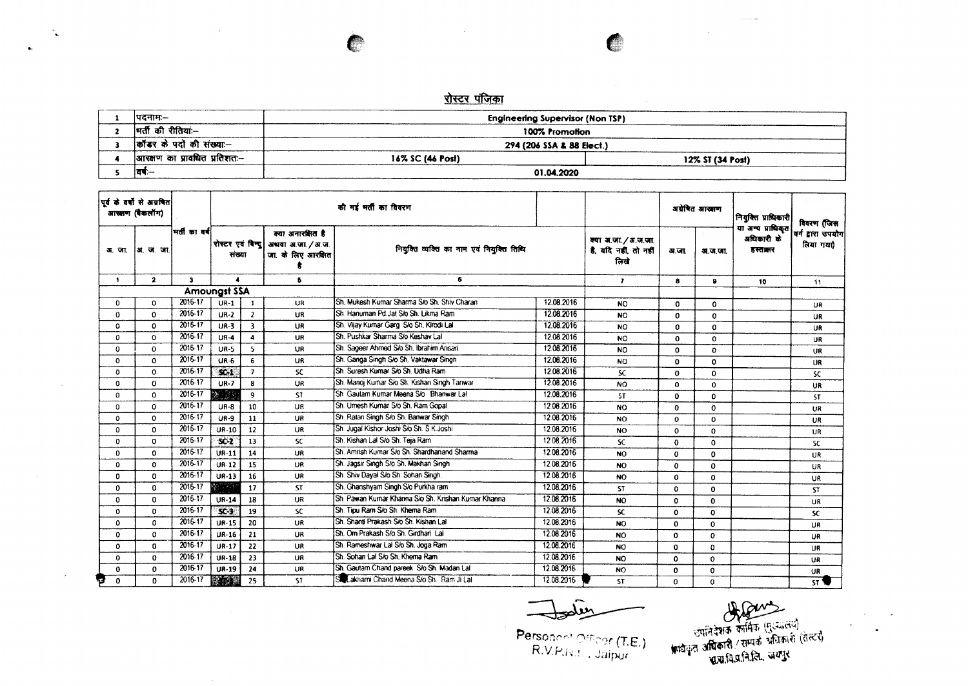C

 $\mathbf{r}_\mathrm{c}$ 

 $\sim$ 

| ।पटनाम:–                     | Engineering Supervisor (Non TSP) |                  |
|------------------------------|----------------------------------|------------------|
| मर्ती की रीतिया:--           | 100% Promotion                   |                  |
| कॉन्डर के पदों की संख्या:—   | 294 (206 SSA & 88 Elect.)        |                  |
| आरक्षण का प्रावधित प्रतिशतः— | 16% SC (46 Post)                 | 12% ST (34 Post) |
| ।वर्षः—                      | 01.04.2020                       |                  |

|                  | पूर्व के वर्षों से अग्रवित<br>आखाण (बैकलॉग) | मतीका वर्ष   |                     |                         |                                                                                | की गई मती का विवरण                                  |            |                                                       |              | अग्रेषित आखाण | নিয়ৰিত্ত মাঘিকাৰী                         | विवरण (जिस                     |
|------------------|---------------------------------------------|--------------|---------------------|-------------------------|--------------------------------------------------------------------------------|-----------------------------------------------------|------------|-------------------------------------------------------|--------------|---------------|--------------------------------------------|--------------------------------|
| अ. जा.           | अ. ज. जा.                                   |              | संख्या              |                         | क्या अनारक्षित है<br>रोस्टर एवं बिन्दु अथवा अ.जा. / अ.ज.<br>जा, के लिए आरक्षित | नियुक्ति व्यक्ति का नाम एवं नियुक्ति तिथि           |            | क्या अ.जा. / अ.ज.जा.<br>है, यदि नहीं, तो नहीं<br>लिखे | अ जा         | अ.ज.जा.       | या अन्य प्राधिकृत<br>अधिकारी के<br>हस्तानर | वर्ग द्वारा उपयोग<br>लिया गया) |
| $\bullet$        | $\overline{2}$                              | $\mathbf{a}$ | $\bullet$           |                         | 5                                                                              | 6                                                   |            | $\mathbf{r}$                                          | 8            | $\bullet$     | 10                                         | 11                             |
|                  |                                             |              | <b>Amoungst SSA</b> |                         |                                                                                |                                                     |            |                                                       |              |               |                                            |                                |
| $\Omega$         | $\Omega$                                    | 2016-17      | $UR-1$              | $\mathbf{1}$            | UR                                                                             | Sh. Mukesh Kumar Sharma S/o Sh. Shiv Charan         | 12.08.2016 | NO.                                                   | $\Omega$     | $\Omega$      |                                            | UR.                            |
| $\Omega$         | $\Omega$                                    | 2016-17      | $UR-2$              | $\overline{2}$          | UR                                                                             | Sh. Hanuman Pd.Jat Sło Sh. Likma Ram                | 12.08.2016 | NO.                                                   | $\mathbf{0}$ | $\Omega$      |                                            | UR                             |
| $\Omega$         | $\Omega$                                    | 2016-17      | $UR-3$              | $\overline{\mathbf{3}}$ | UR                                                                             | Sh. Vijay Kumar Garg S/o Sh. Kirodi Lal             | 12.08.2016 | NO.                                                   | $\Omega$     | $\mathbf{o}$  |                                            | UR                             |
| $\Omega$         | $\Omega$                                    | 2016-17      | $UR-4$              | 4                       | <b>UR</b>                                                                      | Sh. Pushkar Sharma S/o Keshav Lal                   | 12.08.2016 | <b>NO</b>                                             | $\Omega$     | $\Omega$      |                                            | <b>UR</b>                      |
| 0                | $\Omega$                                    | 2016-17      | <b>UR-5</b>         | $\overline{\mathbf{S}}$ | UR                                                                             | Sh. Sageer Ahmed S/o Sh. Ibrahim Ansari             | 12.08.2016 | <b>NO</b>                                             | $\Omega$     | $\Omega$      |                                            | <b>UR</b>                      |
| 0                | $\Omega$                                    | 2016-17      | $UR-6$              | 6                       | UR                                                                             | Sh. Ganga Singh S/o Sh. Vaktawar Singh              | 12.06.2016 | <b>NO</b>                                             | $\Omega$     | $\mathbf o$   |                                            | UR                             |
| $\Omega$         | $\Omega$                                    | 2016-17      | SC.1                | $\overline{7}$          | sc                                                                             | Sh. Suresh Kumar S/o Sh. Udha Ram                   | 12.08.2016 | <b>SC</b>                                             | $\Omega$     | $\Omega$      |                                            | SC.                            |
| $\mathbf{0}$     | $\Omega$                                    | 2016-17      | $UR-7$              | 8                       | <b>UR</b>                                                                      | Sh. Manoj Kumar S/o Sh. Kishan Singh Tanwar         | 12.08.2016 | <b>NO</b>                                             | O            | $\Omega$      |                                            | UR                             |
| $\Omega$         | $\Omega$                                    | 2016-17      | 35.<br>ାତି ସି       | 9                       | ST.                                                                            | Sh Gautam Kumar Meena S/o Bhanwar Lal               | 12.08.2016 | <b>ST</b>                                             | o            | $\mathbf{0}$  |                                            | <b>ST</b>                      |
| $\mathbf 0$      | $\Omega$                                    | 2016-17      | <b>UR-8</b>         | 10                      | UR                                                                             | Sh. Umesh Kumar S/o Sh. Ram Gopal                   | 12.08.2016 | <b>NO</b>                                             | $\Omega$     | $\mathbf 0$   |                                            | <b>UR</b>                      |
| 0                | $\Omega$                                    | $2016 - 17$  | <b>UR-9</b>         | 11                      | UR                                                                             | Sh. Ratan Singh S/o Sh. Banwar Singh                | 12.08.2016 | <b>NO</b>                                             | $\Omega$     | $\circ$       |                                            | UR                             |
| $\Omega$         | $\Omega$                                    | 2016-17      | <b>UR-10</b>        | 12                      | UR                                                                             | Sh. Jugal Kishor Joshi S/o Sh. S.K. Joshi           | 12.08.2016 | NO.                                                   | $\circ$      | $\Omega$      |                                            | UR                             |
| $\Omega$         | $\Omega$                                    | 2016-17      | $SC-2$              | 13                      | SC.                                                                            | Sh. Kishan Lal S/o Sh. Teja Ram                     | 12.08.2016 | <b>SC</b>                                             | $\Omega$     | $\Omega$      |                                            | <b>SC</b>                      |
| 0                | $\Omega$                                    | 2016-17      | <b>UR-11</b>        | 14                      | UR                                                                             | Sh. Amrish Kumar S/o Sh. Shardhanand Sharma         | 12.08.2016 | NO.                                                   | $\Omega$     | 0             |                                            | UR                             |
| 0                | $\Omega$                                    | 2016-17      | $UR-12$             | 15                      | UR                                                                             | Sh. Jagsir Singh S/o Sh. Makhan Singh               | 12.08.2016 | NO.                                                   | $\Omega$     | 0             |                                            | UR                             |
| $\Omega$         | $\Omega$                                    | 2016-17      | <b>UR-13</b>        | 16                      | <b>UR</b>                                                                      | Sh. Shiv Dayal S/o Sh. Sohan Singh.                 | 12.08.2016 | <b>NO</b>                                             | $\Omega$     | 0             |                                            | UR                             |
| $\Omega$         | $\Omega$                                    | 2016-17      | <b>SM 1999</b>      | 17                      | <b>ST</b>                                                                      | Sh. Ghanshyam Singh S/o Purkha ram                  | 12.08.2016 | ST.                                                   | $\Omega$     | $\Omega$      |                                            | <b>ST</b>                      |
| 0                | 0                                           | 2016-17      | <b>UR-14</b>        | 18                      | <b>UR</b>                                                                      | Sh. Pawan Kumar Khanna Sio Sh. Krishan Kumar Khanna | 12.08.2016 | <b>NO</b>                                             | $\Omega$     | $\Omega$      |                                            | <b>UR</b>                      |
| 0                | $\Omega$                                    | 2016-17      | SC <sub>3</sub>     | 19                      | <b>SC</b>                                                                      | Sh. Tipu Ram S/o Sh. Khema Ram                      | 12.08.2016 | SC.                                                   | $\Omega$     | 0             |                                            | <b>SC</b>                      |
| $\Omega$         | 0                                           | 2016-17      | UR-15               | 20                      | UR                                                                             | Sh. Shanti Prakash S/o Sh. Kishan Lal               | 12.08.2016 | <b>NO</b>                                             | $\bf{0}$     | $\Omega$      |                                            | UR                             |
| 0                | 0                                           | 2016-17      | <b>UR-16</b>        | 21                      | UR                                                                             | Sh. Om Prakash S/o Sh. Girdhari Lai                 | 12.08.2016 | <b>NO</b>                                             | $\Omega$     | 0             |                                            | UR                             |
| 0                | 0                                           | 2016-17      | $UR-17$             | 22                      | <b>UR</b>                                                                      | Sh. Rameshwar Lal S/o Sh. Joga Ram                  | 12.08.2016 | NO.                                                   | $\Omega$     | $\mathbf{0}$  |                                            | UR                             |
| $\Omega$         | $\mathbf{0}$                                | 2016-17      | <b>UR-18</b>        | 23                      | UR                                                                             | Sh. Sohan Lal S/o Sh. Khema Ram                     | 12.08.2016 | NO.                                                   | $\Omega$     | 0             |                                            | UR                             |
| $\bf{0}$         | $\mathbf{0}$                                | 2016-17      | <b>UR-19</b>        | 24                      | UR                                                                             | Sh. Gautam Chand pareek. S/o Sh. Madan Lal          | 12.08.2016 | NO.                                                   | $\Omega$     | $\bf{0}$      |                                            | UR                             |
| ₩<br>$\mathbf 0$ | 0                                           | 2016-17      | <b>ROB</b>          | 25                      | ST.                                                                            | St. Lakhami Chand Meena S/o Sh. Ram Ji Lal          | 12.08.2016 | <b>ST</b>                                             | $\Omega$     | $\Omega$      |                                            | <b>ST %</b>                    |

प्राप्तिदेशक कार्मिक (मुःजातय)<br>उपनिदेशक कार्मिक (मुःजातय)<br>क्रांचेयून अधिकारी / सम्पर्क प्रग्निकारी (सेस्टर)<br>ब्राम्बानिजानिति, जयपुर

 $\sim 10^7$ 

Personned Officer (T.E.)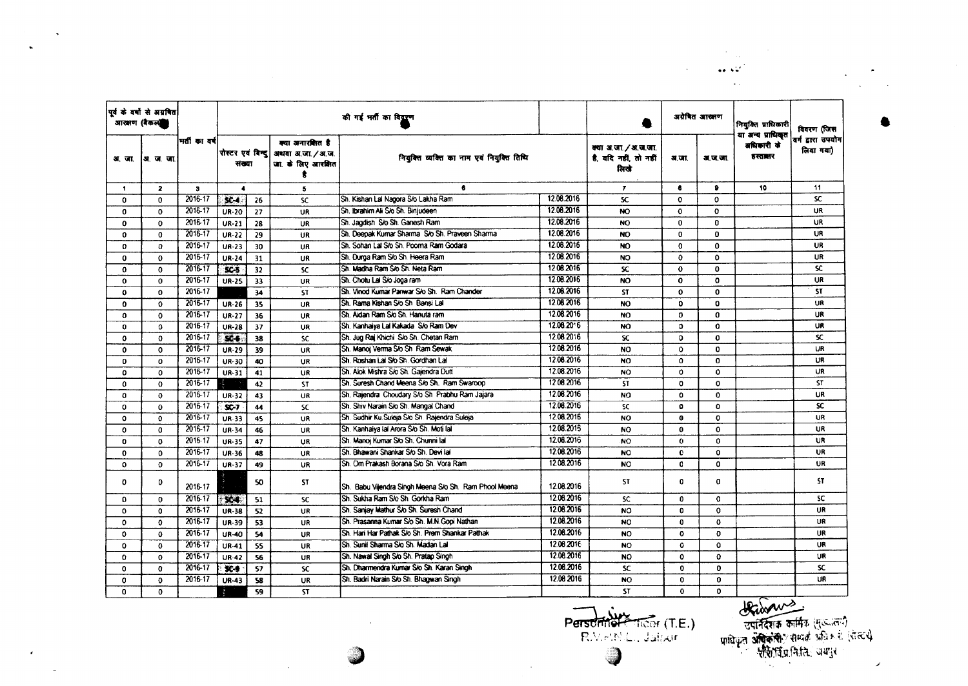|              | पूर्व के वर्षों से अग्रवित<br>आरक्षण (बैकलंडी |              |                  |    |                                                                                | की गई भर्ती का विद्युण                                |            |                                                       |              | अयेबित आरक्षण | नियक्ति प्राधिकारी                         | विवरण (जिस                     |
|--------------|-----------------------------------------------|--------------|------------------|----|--------------------------------------------------------------------------------|-------------------------------------------------------|------------|-------------------------------------------------------|--------------|---------------|--------------------------------------------|--------------------------------|
| अ. जा.       | ।अ ज जा                                       | मती का वर्ष  | संख्या           |    | क्या अनारवित है<br>रोस्टर एवं बिन्दु   अधवा अ.जा. / अ.ज.<br>जा. के लिए आरक्षित | नियंक्ति व्यक्ति का नाम एवं नियुक्ति तिथि             |            | क्या अ.जा. / अ.ज.जा.<br>है, यदि नहीं, तो नहीं<br>तिखे | अ.जा.        | अ.ज.जा.       | या अन्य प्राधिकृत<br>अधिकारी के<br>हस्तालर | वर्ग द्वारा उपयोग<br>लिया गया) |
| 1            | $\overline{2}$                                | $\mathbf{3}$ | $\blacktriangle$ |    | 5                                                                              | 6                                                     |            | $\mathbf{r}$                                          | 8            |               | 10                                         | 11                             |
| 0            | $\Omega$                                      | 2016-17      | \$ <sub>4</sub>  | 26 | <b>SC</b>                                                                      | Sh. Kishan Lal Nagora S/o Lakha Ram                   | 12.08.2016 | SC.                                                   | $\Omega$     | 0             |                                            | SC.                            |
| $\mathbf{0}$ | o                                             | 2016-17      | <b>UR-20</b>     | 27 | UR                                                                             | Sh. Ibrahim Ali S/o Sh. Binjudeen                     | 12.08.2016 | NO.                                                   | $\mathbf{o}$ | $\mathbf{o}$  |                                            | UR                             |
| $\mathbf 0$  | $\bf{0}$                                      | 2016-17      | <b>UR-21</b>     | 28 | UR                                                                             | Sh. Jagdish S/o Sh. Ganesh Ram                        | 12.08.2016 | <b>NO</b>                                             | $\bf{0}$     | $\Omega$      |                                            | UR                             |
| $\Omega$     | 0                                             | 2016-17      | $UR-22$          | 29 | UR                                                                             | ISh, Deepak Kumar Sharma Sio Sh, Praveen Sharma       | 12.08.2016 | NO                                                    | 0            | $\mathbf{0}$  |                                            | UR                             |
| 0            | $\Omega$                                      | 2016-17      | $UR-23$          | 30 | UR                                                                             | Sh. Sohan Lal S/o Sh. Pooma Ram Godara                | 12.08.2016 | NO                                                    | o            | $\Omega$      |                                            | UR.                            |
| 0            | $\Omega$                                      | 2016-17      | <b>UR-24</b>     | 31 | UR                                                                             | Sh. Durga Ram S/o Sh. Heera Ram                       | 12.08.2016 | NO.                                                   | $\Omega$     | $\Omega$      |                                            | UR                             |
| $\Omega$     | $\bf{0}$                                      | 2016-17      | SC-5             | 32 | <b>SC</b>                                                                      | Sh. Madha Ram S/o Sh. Neta Ram                        | 12.08.2016 | SC.                                                   | $\mathbf{o}$ | $\mathbf{0}$  |                                            | <b>SC</b>                      |
| $\mathbf{o}$ | $\mathbf{o}$                                  | 2016-17      | <b>UR-25</b>     | 33 | UR                                                                             | Sh. Chotu Lal S/o Joga ram                            | 12.08.2016 | NO.                                                   | $\mathbf{o}$ | $\mathbf{o}$  |                                            | <b>UR</b>                      |
| $\mathbf o$  | $\Omega$                                      | 2016-17      |                  | 34 | <b>ST</b>                                                                      | Sh. Vinod Kumar Panwar S/o Sh. Ram Chander            | 12.08.2016 | <b>ST</b>                                             | O            | $\mathbf 0$   |                                            | <b>ST</b>                      |
| $\mathbf o$  | $\mathbf{o}$                                  | 2016-17      | <b>UR-26</b>     | 35 | <b>UR</b>                                                                      | Sh. Rama Kishan S/o Sh Bansi Lal                      | 12.08.2016 | NO                                                    | $\mathbf{0}$ | $\Omega$      |                                            | UR                             |
| 0            | 0                                             | 2016-17      | UR-27            | 36 | UR                                                                             | Sh. Aidan Ram Sio Sh. Hanuta ram                      | 12.08.2016 | NO <sub>1</sub>                                       | $\mathbf{D}$ | $\mathbf{0}$  |                                            | UR                             |
| o            | o                                             | 2016-17      | <b>UR-28</b>     | 37 | <b>UR</b>                                                                      | Sh. Kanhaiya Lal Kakada S/o Ram Dev                   | 12.06.2016 | NO.                                                   | $\Omega$     | $\mathbf{o}$  |                                            | <b>UR</b>                      |
| 0            | $\Omega$                                      | 2016-17      | $SC +$           | 38 | <b>SC</b>                                                                      | Sh. Jug Rai Khichi S/o Sh. Chetan Ram                 | 12.06.2016 | <b>SC</b>                                             | $\Omega$     | $\mathbf{0}$  |                                            | SC.                            |
| $\mathbf{o}$ | $\mathbf 0$                                   | 2016-17      | UR-29            | 39 | UR                                                                             | Sh. Manoi Verma S/o Sh. Ram Sewak                     | 12.08.2016 | <b>NO</b>                                             | $\Omega$     | 0             |                                            | <b>UR</b>                      |
| $\mathbf{0}$ | $\mathbf{o}$                                  | 2016-17      | UR-30            | 40 | UR                                                                             | Sh. Roshan Lal S/o Sh. Gordhan Lal                    | 12.08.2016 | <b>NO</b>                                             | $\Omega$     | $\mathbf{o}$  |                                            | UR                             |
| $\mathbf{o}$ | $\mathbf{o}$                                  | 2016-17      | UR-31            | 41 | <b>UR</b>                                                                      | Sh. Alok Mishra S/o Sh. Gajendra Dutt                 | 12.08.2016 | NO                                                    | $\Omega$     | O             |                                            | UR                             |
| 0            | $\mathbf 0$                                   | 2016-17      |                  | 42 | <b>ST</b>                                                                      | Sh. Suresh Chand Meena S/o Sh. Ram Swaroop            | 12.08.2016 | <b>ST</b>                                             | $\mathbf 0$  | $\Omega$      |                                            | <b>ST</b>                      |
| 0            | $\bf{0}$                                      | 2016-17      | UR-32            | 43 | <b>UR</b>                                                                      | Sh. Rajendral Choudary S/o Shi Prabhu Ram Jajara      | 12.08.2016 | NO.                                                   | $\Omega$     | $\Omega$      |                                            | <b>UR</b>                      |
| 0            | 0                                             | 2016-17      | <b>SC-7</b>      | 44 | <b>SC</b>                                                                      | Sh. Shiv Narain S/o Sh. Mangal Chand                  | 12.08.2016 | SC                                                    | $\Omega$     | $\mathbf{o}$  |                                            | <b>SC</b>                      |
| $\Omega$     | $\Omega$                                      | 2016-17      | UR-33            | 45 | UR                                                                             | Sh. Sudhir Ku Suleja S/o Sh. Rajendra Suleja          | 12.08.2016 | NO.                                                   | $\mathbf o$  | $\Omega$      |                                            | <b>UR</b>                      |
| $\Omega$     | $\Omega$                                      | 2016-17      | UR-34            | 46 | UR                                                                             | Sh. Kanhaiya lal Arora S/o Sh. Moti lal               | 12.08.2015 | <b>NO</b>                                             | $\bf{0}$     | $\mathbf{o}$  |                                            | <b>UR</b>                      |
| $\mathbf{0}$ | $\Omega$                                      | 2016-17      | <b>UR-35</b>     | 47 | UR                                                                             | Sh. Manoj Kumar S/o Sh. Chunni lal                    | 12.08.2016 | <b>NO</b>                                             | $\mathbf{o}$ | $\mathbf{0}$  |                                            | UR                             |
| $\mathbf{0}$ | $\Omega$                                      | 2016-17      | UR-36            | 48 | UR                                                                             | Sh. Bhawani Shankar S/o Sh. Devi lal                  | 12.08.2016 | <b>NO</b>                                             | $\mathbf{o}$ | $\mathbf 0$   |                                            | UR                             |
| 0            | $\Omega$                                      | 2016-17      | $UP-37$          | 49 | UR                                                                             | Sh. Om Prakash Borana S/o Sh. Vora Ram                | 12.08.2016 | NO.                                                   | $\mathbf{C}$ | 0             |                                            | <b>UR</b>                      |
| O            | D                                             | 2016-17      |                  | 50 | <b>ST</b>                                                                      | Sh. Babu Vijendra Singh Meena S/o Sh. Ram Phool Meena | 12.08.2016 | <b>ST</b>                                             | $\Omega$     | $\mathbf 0$   |                                            | <b>ST</b>                      |
| 0            | $\Omega$                                      | 2016-17      | $x -$            | 51 | <b>SC</b>                                                                      | Sh. Sukha Ram S/o Sh. Gorkha Ram                      | 12.08.2016 | <b>SC</b>                                             | $\bf{0}$     | 0             |                                            | <b>SC</b>                      |
| $\mathbf{0}$ | $\Omega$                                      | 2016-17      | <b>UR-38</b>     | 52 | UR                                                                             | Sh. Sanjay Mathur Sio Sh. Suresh Chand                | 12.08.2016 | NO.                                                   | $\mathbf{0}$ | $\mathbf{o}$  |                                            | UR                             |
| 0            | 0                                             | 2016-17      | UR-39            | 53 | UR                                                                             | Sh. Prasanna Kumar Sio Sh. M.N.Gopi Nathan            | 12.08.2016 | NO                                                    | $\mathbf{0}$ | $\mathbf 0$   |                                            | UR                             |
| 0            | $\Omega$                                      | 2016-17      | UR-40            | 54 | UR                                                                             | Sh. Han Har Pathak S/o Sh. Prem Shankar Pathak        | 12.08.2016 | NO.                                                   | 0            | o             |                                            | <b>UR</b>                      |
| 0            | $\Omega$                                      | 2016-17      | UR-41            | 55 | <b>UR</b>                                                                      | Sh. Sunii Sharma Sio Sh. Madan Lail                   | 12.08.2016 | NO.                                                   | $\Omega$     | $\Omega$      |                                            | UR                             |
| $\Omega$     | $\mathbf o$                                   | 2016-17      | <b>UR-42</b>     | 56 | UR                                                                             | Sh. Nawal Singh S/o Sh. Pratao Singh                  | 12.08.2016 | <b>NO</b>                                             | $\mathbf 0$  | $\Omega$      |                                            | UR                             |
| 0            | 0                                             | 2016-17      | $96 - 9$         | 57 | <b>SC</b>                                                                      | Sh. Dharmendra Kurnar S/o Sh. Karan Singh             | 12.08.2016 | SC.                                                   | $\Omega$     | $\Omega$      |                                            | <b>SC</b>                      |
| O            | 0                                             | 2016-17      | <b>UR-43</b>     | 58 | <b>UR</b>                                                                      | Sh. Badri Narain S/o Sh. Bhagwan Singh                | 12.08 2016 | NO.                                                   | $\mathbf{0}$ | $\mathbf{0}$  |                                            | UR                             |
| $\Omega$     | $\Omega$                                      |              |                  | 59 | <b>ST</b>                                                                      |                                                       |            | <b>ST</b>                                             | $\mathbf 0$  | $\Omega$      |                                            |                                |

 $\sim 100$  km  $^{-1}$ 

 $\mathcal{A}$ 

 $\sim$ 

 $\epsilon$ 

Personnel Ticor (T.E.) J

प्राधिकारण कार्यक्रम (सुद्धालय)<br>उपनिदशक कार्यिक (सुद्धालय)<br>प्राधिकृत अधिकारी: सम्पर्क अभिकारी (पोस्टर)  $\mathcal{L}$ 

 $\sim$   $\sim$ 

 $\sim 10^{-1}$ 

 $\mathcal{A}_{\text{max}} = \mathcal{A}$  .  $\mathbf{1}_{\mathbf{1}_{\mathbf{2}}}\mathbf{1}_{\mathbf{2}_{\mathbf{2}}}\mathbf{1}_{\mathbf{2}_{\mathbf{2}}}\mathbf{1}_{\mathbf{2}_{\mathbf{2}}}\mathbf{1}_{\mathbf{2}_{\mathbf{2}}}\mathbf{1}_{\mathbf{2}_{\mathbf{2}}}\mathbf{1}_{\mathbf{2}_{\mathbf{2}}}\mathbf{1}_{\mathbf{2}_{\mathbf{2}}}\mathbf{1}_{\mathbf{2}_{\mathbf{2}}}\mathbf{1}_{\mathbf{2}_{\mathbf{2}}}\mathbf{1}_{\mathbf{2}_{\mathbf{2}}}\mathbf{1}_{\mathbf{2}_{\mathbf{2}}}\mathbf{$ 

 $\sim 10^7$ 

 $\mathcal{L}^{\text{max}}$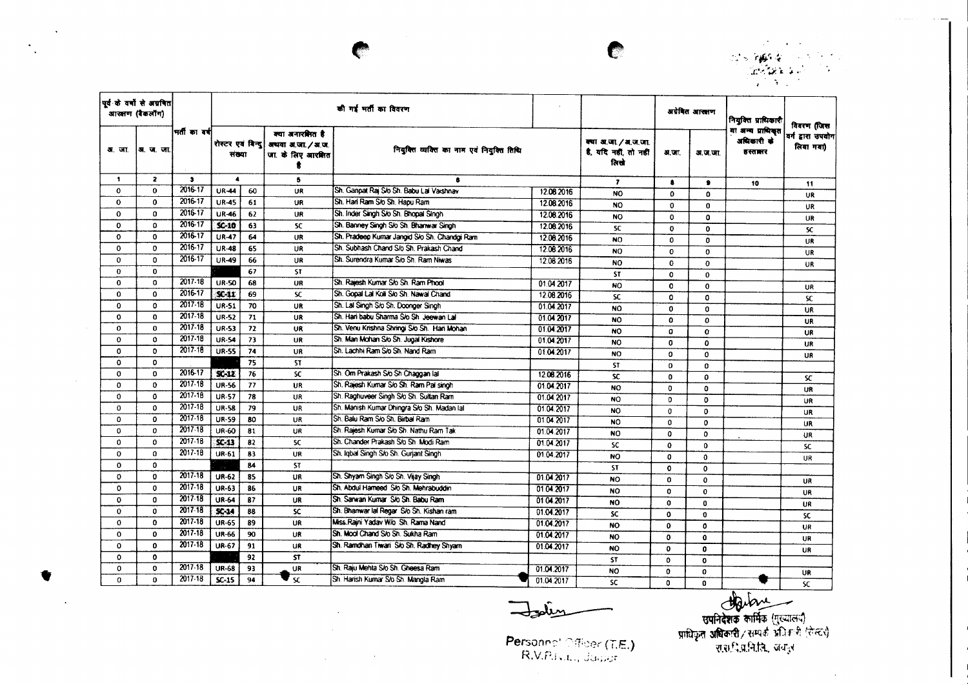ants **byggie** (1998) (1999)<br>Ca<del>legae (2</del>9)<br>Calegae (29)

 $\mathcal{L}(\mathcal{F})$  and  $\mathcal{L}(\mathcal{F})$ 

|              | पूर्व के वर्षों से अग्रवित<br>आरक्षण (बैकलॉग) |               |                                |        |                                                            | की गई भर्ती का विवरण                         |                                                       |                 |              | अग्रेवित आरक्षण                                 | নিযুক্তির মাঘিকারী             | विवरण (जिस |
|--------------|-----------------------------------------------|---------------|--------------------------------|--------|------------------------------------------------------------|----------------------------------------------|-------------------------------------------------------|-----------------|--------------|-------------------------------------------------|--------------------------------|------------|
| अ. जा.       | अ.ज.जा                                        | भर्ती का वर्ष | रोस्टर एवं विन्दू              | संख्या | क्या अनारशित है<br>अथवा अ.जा. / अ.ज.<br>जा. के लिए आरक्षित | नियुक्ति व्यक्ति का नाम एवं नियुक्ति तिथि    | क्या अ.जा. / अ.ज.जा.<br>है, यदि नहीं, तो नहीं<br>ਕਿਦੇ | <b>अ.जा.</b>    | अ.ज.जा.      | .<br>या अन्य प्राधिकृत<br>अधिकारी के<br>हस्तालर | वर्ग द्वारा उपयोग<br>लिया गया) |            |
| $\mathbf{1}$ | $\overline{\mathbf{z}}$                       | 3             | $\blacktriangle$               |        | 5                                                          | 8                                            |                                                       | $\mathbf{r}$    | $\bullet$    | $\bullet$                                       | 10                             | 11         |
| $\mathbf{o}$ | $\bf{0}$                                      | 2016-17       | <b>UR-44</b>                   | 60     | UR                                                         | Sh. Ganpat Rai S/o Sh. Babu Lai Vaishnav     | 12.08.2016                                            | <b>NO</b>       | $\mathbf{o}$ | $\Omega$                                        |                                | UR         |
| $\mathbf{o}$ | $\mathbf 0$                                   | 2016-17       | <b>UR-45</b>                   | 61     | UR                                                         | Sh. Hari Ram S/o Sh. Hapu Ram                | 12.08.2016                                            | <b>NO</b>       | $\Omega$     | $\Omega$                                        |                                | UR         |
| $\Omega$     | $\Omega$                                      | 2016-17       | <b>UR-46</b>                   | 62     | UR                                                         | Sh. Inder Singh S/o Sh. Bhopal Singh         | 12.08.2016                                            | <b>NO</b>       | $\mathbf 0$  | $\Omega$                                        |                                | UR         |
| $\mathbf 0$  | $\Omega$                                      | 2016-17       | $SC-10$                        | 63     | <b>SC</b>                                                  | Sh. Banney Singh S/o Sh. Bhanwar Singh       | 12.08.2016                                            | SC              | $\mathbf{o}$ | $\mathbf{o}$                                    |                                | SC.        |
| $\mathbf{o}$ | $\mathbf 0$                                   | 2016-17       | <b>UR-47</b>                   | 64     | UR                                                         | Sh. Pradeep Kumar Jangid S/o Sh. Chandgi Ram | 12.08.2016                                            | NO <sub>1</sub> | $\mathbf 0$  | $\mathbf{0}$                                    |                                | UR.        |
| $\Omega$     | $\Omega$                                      | 2016-17       | <b>UR-48</b>                   | 65     | UR                                                         | Sh. Subhash Chand S/o Sh. Prakash Chand      | 12.08.2016                                            | <b>NO</b>       | $\mathbf{o}$ | $\Omega$                                        |                                | <b>UR</b>  |
| $\mathbf 0$  | $\mathbf{0}$                                  | 2016-17       | <b>UR-49</b>                   | 66     | <b>UR</b>                                                  | Sh. Surendra Kumar S/o Sh. Ram Niwas         | 12.08.2016                                            | <b>NO</b>       | $\mathbf 0$  | $\mathbf 0$                                     |                                | UR         |
| $\Omega$     | $\mathbf{0}$                                  |               |                                | 67     | <b>ST</b>                                                  |                                              |                                                       | <b>ST</b>       | $\mathbf{0}$ | $\mathbf{0}$                                    |                                |            |
| 0            | $\mathbf 0$                                   | 2017.18       | <b>UR-50</b>                   | 68     | <b>UR</b>                                                  | Sh. Rajesh Kumar S/o Sh. Ram Phool           | 01.04.2017                                            | NO.             | 0            | $\mathbf 0$                                     |                                | UR         |
| $\Omega$     | $\Omega$                                      | 2016-17       | $\mathbf{C} \cdot \mathbf{11}$ | 69     | <b>SC</b>                                                  | Sh. Gopal Lal Koli S/o Sh. Nawal Chand       | 12.08.2016                                            | <b>SC</b>       | 0            | $\mathbf{0}$                                    |                                | SC.        |
| 0            | 0                                             | 2017-18       | <b>UR-51</b>                   | 70     | UR                                                         | Sh. Lal Singh S/o Sh. Doonger Singh          | 01.04.2017                                            | <b>NO</b>       | $\mathbf 0$  | $\Omega$                                        |                                | <b>UR</b>  |
| $\mathbf{o}$ | $\mathbf{0}$                                  | 2017-18       | <b>UR-52</b>                   | 71     | UR                                                         | Sh. Hari babu Sharma S/o Sh Jeewan Lal       | 01.04 2017                                            | <b>NO</b>       | 0            | $\Omega$                                        |                                | <b>UR</b>  |
| $\Omega$     | $\Omega$                                      | 2017-18       | <b>UR-53</b>                   | 72     | UR                                                         | Sh. Venu Krishna Shringi S/o Sh. Hari Mohan  | 01.04.2017                                            | <b>NO</b>       | o            | $\Omega$                                        |                                | <b>UR</b>  |
| $\mathbf o$  | $\mathbf{o}$                                  | $2017 - 18$   | <b>UR-54</b>                   | 73     | UR                                                         | Sh. Man Mohan S/o Sh. Jugal Kishore          | 01.04.2017                                            | <b>NO</b>       | 0            | $\mathbf{o}$                                    |                                | <b>UR</b>  |
| $\Omega$     | $\mathbf{0}$                                  | 2017-18       | <b>UR-55</b>                   | 74     | UR                                                         | Sh. Lachhi Ram S/o Sh. Nand Ram              | 01.04.2017                                            | <b>NO</b>       | 0            | $\Omega$                                        |                                | UR         |
| $\mathbf{o}$ | $\mathbf{o}$                                  |               |                                | 75     | <b>ST</b>                                                  |                                              |                                                       | <b>ST</b>       | 0            | $\Omega$                                        |                                |            |
| $\mathbf{o}$ | $\Omega$                                      | $2016 - 17$   | $S - 12$                       | 76     | <b>SC</b>                                                  | Sh. Om Prakash S/o Sh Chaggan lal            | 12.08.2016                                            | <b>SC</b>       | $\mathbf{0}$ | 0                                               |                                | <b>SC</b>  |
| $\mathbf 0$  | $\mathbf{0}$                                  | 2017-18       | <b>UR-56</b>                   | 77     | UR                                                         | Sh. Rajesh Kumar S/o Sh. Ram Pal sinoh       | 01.04.2017                                            | <b>NO</b>       | 0            | $\mathbf 0$                                     |                                | UR         |
| $\mathbf 0$  | $\mathbf{o}$                                  | 2017-18       | <b>UR-57</b>                   | 78     | UR                                                         | Sh. Raghuveer Singh Sio Sh. Sultan Ram       | 01.04.2017                                            | <b>NO</b>       | $\Omega$     | $\Omega$                                        |                                | UR         |
| 0            | $\Omega$                                      | $2017 - 18$   | <b>UR-58</b>                   | 79     | UR                                                         | Sh. Manish Kumar Dhingra S/o Sh. Madan lal   | 01.04.2017                                            | <b>NO</b>       | $\mathbf{0}$ | $\mathbf{0}$                                    |                                | <b>UR</b>  |
| $\Omega$     | $\mathbf{o}$                                  | $2017 - 18$   | <b>UR-59</b>                   | 80     | UR                                                         | Sh. Balu Ram Sio Sh. Birbal Ram              | 01.04.2017                                            | <b>NO</b>       | $\Omega$     | $\mathbf{0}$                                    |                                | <b>UR</b>  |
| 0            | $\mathbf{o}$                                  | 2017-18       | UR-60                          | 81     | UR                                                         | Sh. Rajesh Kumar S/o Sh. Nathu Ram Tak       | 01.04.2017                                            | <b>NO</b>       | $\mathbf o$  | 0                                               |                                | UR         |
| $\Omega$     | $\mathbf{o}$                                  | $2017 - 18$   | $SC-13$                        | 82     | <b>SC</b>                                                  | Sh. Chander Prakash S/o Sh Modi Ram          | 01.04.2017                                            | <b>SC</b>       | $\Omega$     | $\Omega$                                        |                                | SC.        |
| 0            | $\mathbf{a}$                                  | 2017-18       | UR-61                          | 83     | UR                                                         | Sh. Igbal Singh S/o Sh. Guriant Singh        | 01.04.2017                                            | NO              | $\mathbf{0}$ | 0                                               |                                | <b>UR</b>  |
| 0            | $\mathbf{0}$                                  |               |                                | 84     | <b>ST</b>                                                  |                                              |                                                       | ST              | 0            | $\mathbf{o}$                                    |                                |            |
| $\Omega$     | $\mathbf{o}$                                  | $2017 - 18$   | <b>UR-62</b>                   | 85     | UR                                                         | Sh. Shyam Singh S/o Sh. Vijay Singh          | 01.04.2017                                            | <b>NO</b>       | $\mathbf{o}$ | $\Omega$                                        |                                | <b>UR</b>  |
| $\Omega$     | $\mathbf{0}$                                  | 2017.18       | <b>UR-63</b>                   | 86     | <b>UR</b>                                                  | Sh. Abdul Hameed S/o Sh. Mehrabuddin         | 01.04.2017                                            | <b>NO</b>       | $\mathbf{0}$ | $\mathbf 0$                                     |                                | <b>UR</b>  |
| 0            | $\Omega$                                      | 2017-18       | <b>UR-64</b>                   | 87     | UR                                                         | Sh. Sarwan Kumar S/o Sh. Babu Ram            | 0104.2017                                             | <b>NO</b>       | $\mathbf 0$  | $\mathbf{0}$                                    |                                | <b>UR</b>  |
| $\bf{0}$     | $\mathbf 0$                                   | $2017 - 18$   | $50 - 14$                      | 88     | SC.                                                        | Sh. Bhanwar lal Regar S/o Sh. Kishan ram     | 01.04.2017                                            | SC              | $\Omega$     | $\Omega$                                        |                                | SC         |
| $\mathbf 0$  | $\mathbf 0$                                   | 2017-18       | <b>UR-65</b>                   | 89     | <b>UR</b>                                                  | Miss.Raini Yadav W/o Sh. Rama Nand           | 01.04.2017                                            | NO.             | $\mathbf{0}$ | $\mathbf{o}$                                    |                                | <b>UR</b>  |
| $\mathbf 0$  | $\mathbf{o}$                                  | $2017 - 18$   | <b>UR-66</b>                   | 90     | UR                                                         | Sh. Mool Chand S/o Sh. Sukha Ram             | 01.04.2017                                            | NO.             | $\mathbf 0$  | $\mathbf{0}$                                    |                                | UR         |
| $\mathbf 0$  | $\mathbf{0}$                                  | 2017-18       | <b>UR-67</b>                   | 91     | UR                                                         | Sh. Ramdhan Tiwari Sio Sh. Radhey Shyam      | 01.04.2017                                            | <b>NO</b>       | $\mathbf{o}$ | $\mathbf{0}$                                    |                                | UR         |
| o            | $\mathbf{o}$                                  |               |                                | 92     | <b>ST</b>                                                  |                                              |                                                       | ST.             | $\Omega$     | $\mathbf o$                                     |                                |            |
| $\Omega$     | $\mathbf{0}$                                  | 2017-18       | <b>UR-68</b>                   | 93     | <b>UR</b>                                                  | Sh. Raju Mehta S/o Sh. Gheesa Ram            | 01.04.2017                                            | <b>NO</b>       | $\Omega$     | $\mathbf{0}$                                    |                                | UR         |
| 0            | 0                                             | 2017-18       | $SC-15$                        | 94     | $\mathsf{S}$ C                                             | Sh. Harish Kumar S/o Sh. Mangla Ram          | 01.04.2017                                            | SC              | 0            | 0                                               |                                | SC         |

 $\sim 10$  $\sim$ 

 $\Delta\sim 10^{-1}$ 

 $\sim 10^{-1}$ 

 $\mathcal{A}^{\pm}$ 

 $\sim 10^7$ 

 $\sim 10^7$ 

 $\sim$ 

 $\mathcal{F}_1$ 

Islin

स्त्री करने कार्यकर्ता करने करने हैं।<br>अधिकृत अधिकारी / सम्पर्क प्रति हमी (रेस्टर)<br>प्राधिकृत अधिकारी / सम्पर्क प्रति हमी (रेस्टर)<br>पासन्ति प्रति प्रति प्रति प्राप्त क्रम हम

 $\mathcal{A}$ 

Personnel Officer (T.E.)

C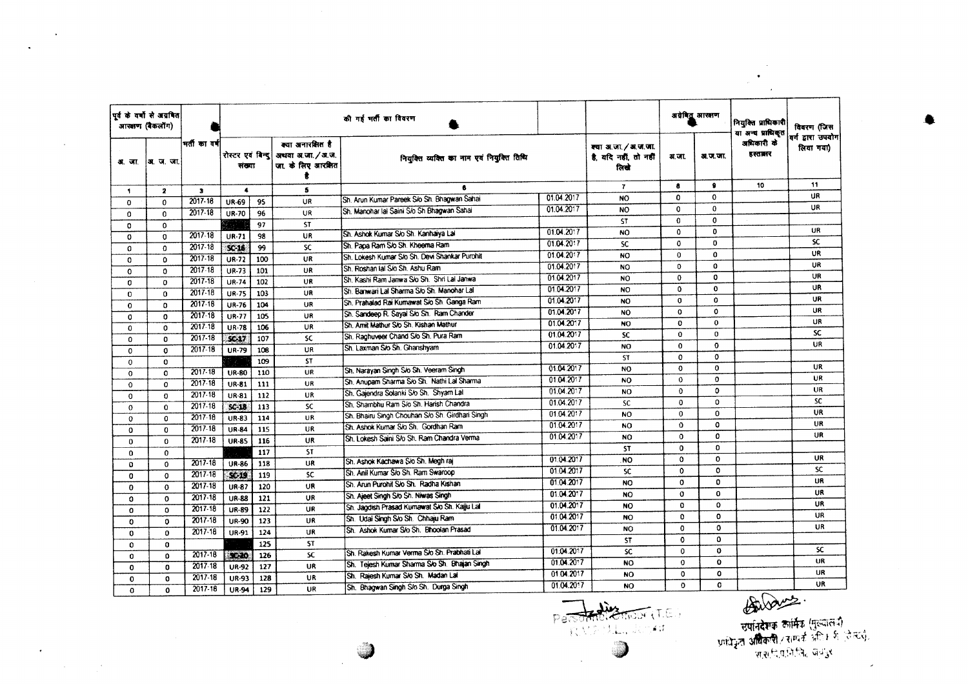|              | पूर्व के वर्षों से अग्रवित<br>आरक्षण (बैकलॉग) |              |                             |     |                                                              | की गई भर्ती का विवरण                            |            |                                                     |              | अग्रेबिद्र, आरक्षण | नियुक्ति प्राधिकारी<br>या अन्य प्राधिकृत | विवरण (जिस                     |
|--------------|-----------------------------------------------|--------------|-----------------------------|-----|--------------------------------------------------------------|-------------------------------------------------|------------|-----------------------------------------------------|--------------|--------------------|------------------------------------------|--------------------------------|
| अ. जा.       | अ. ज. जा.                                     | मती का वर्ष  | रोस्टर एवं बिन्दु<br>संख्या |     | क्या अनारक्षित है<br>अथवा अ.जा. / अ.ज.<br>जा. के लिए आरक्षित | नियक्ति व्यक्ति का नाम एवं नियुक्ति तिथि        |            | क्या अ.जा./अ.ज.जा.<br>है. यदि नहीं, तो नहीं<br>ਨਿਵੇ | अ.जा.        | अ.ज.जा.            | अधिकारी के<br>हस्तब्रार                  | वर्ग द्वारा उपयोग<br>लिया गया) |
| $\bullet$    | $\mathbf{2}$                                  | $\mathbf{3}$ | $\blacktriangleleft$        |     | 5                                                            |                                                 |            | $\mathbf{r}$                                        | 8            | $\bullet$          | 10                                       | 11                             |
| $\Omega$     | $\Omega$                                      | $2017 - 18$  | UR-69                       | 95  | UR                                                           | Sh. Arun Kumar Pareek S/o Sh. Bhagwan Sahai     | 01.04.2017 | <b>NO</b>                                           | $\Omega$     | $\Omega$           |                                          | UR.                            |
| 0            | $\Omega$                                      | $2017 - 18$  | <b>UR-70</b>                | 96  | UR                                                           | Sh. Manohar lal Saini Sio Sh Bhagwan Sahai      | 01.04.2017 | NO.                                                 | $\mathbf 0$  | $\mathbf{0}$       |                                          | UR                             |
| $\Omega$     | $\mathbf 0$                                   |              |                             | 97  | ST.                                                          |                                                 |            | ST.                                                 | $\Omega$     | $\mathbf{0}$       |                                          |                                |
| $\Omega$     | $\Omega$                                      | $2017 - 18$  | UR-71                       | 98  | UR                                                           | Sh. Ashok Kumar S/o Sh. Kanhaiya Lal            | 01.04.2017 | <b>NO</b>                                           | $\Omega$     | $\mathbf{0}$       |                                          | UR                             |
| 0            | $\Omega$                                      | 2017-18      | $SC-16$                     | 99  | $\overline{\mathbf{x}}$                                      | Sh. Papa Ram S/o Sh. Kheema Ram                 | 01.04.2017 | SC.                                                 | $\mathbf 0$  | $\mathbf 0$        |                                          | <b>SC</b>                      |
| 0            | $\Omega$                                      | 2017-18      | <b>UR-72</b>                | 100 | UR                                                           | Sh. Lokesh Kumar S/o Sh. Devi Shankar Purohit   | 01.04.2017 | NO.                                                 | $\Omega$     | $\mathbf{0}$       |                                          | UR                             |
| $\Omega$     | $\Omega$                                      | 2017-18      | UR-73                       | 101 | UR                                                           | Sh. Roshan Ial S/o Sh. Ashu Ram                 | 01.04.2017 | <b>NO</b>                                           | $\Omega$     | 0                  |                                          | UR                             |
| 0            | $\Omega$                                      | 2017-18      | <b>UR-74</b>                | 102 | UR.                                                          | Sh. Kashi Ram Janwa S/o Sh. Shri Lal Janwa      | 01.04.2017 | <b>NO</b>                                           | $\bf{0}$     | 0                  |                                          | UR                             |
| 0            | $\mathbf 0$                                   | 2017-18      | <b>UR-75</b>                | 103 | UR                                                           | Sh. Banwari Lai Sharma S/o Sh. Manohar Lai      | 01.04.2017 | <b>NO</b>                                           | $\Omega$     | $\Omega$           |                                          | <b>UR</b>                      |
| $\Omega$     | $\Omega$                                      | $2017 - 18$  | <b>UR-76</b>                | 104 | UR                                                           | Sh. Prahalad Rai Kumawat S/o Sh. Ganga Ram      | 01.04.2017 | NO                                                  | $\mathbf 0$  | o                  |                                          | UR                             |
| 0            | $\Omega$                                      | $2017 - 18$  | UR-77                       | 105 | UR                                                           | Sh. Sandeep R. Sayal S/o Sh. Ram Chander        | 01.04.2017 | <b>NO</b>                                           | $\Omega$     | O                  |                                          | <b>UR</b>                      |
| 0            | $\mathbf 0$                                   | 2017-18      | <b>UR-78</b>                | 106 | UR                                                           | Sh. Amit Mathur S/o Sh. Kishan Mathur           | 01.04.2017 | NO.                                                 | $\Omega$     | $\mathbf{o}$       |                                          | UR                             |
| 0            | 0                                             | 2017-18      | $5C-17$                     | 107 | <b>SC</b>                                                    | Sh. Raghuveer Chand S/o Sh. Pura Ram            | 01.04.2017 | <b>SC</b>                                           | $\Omega$     | $\Omega$           |                                          | SC.                            |
| $\Omega$     | 0                                             | $2017 - 18$  | <b>UR-79</b>                | 108 | UR                                                           | Sh. Laxman S/o Sh. Ghanshyam                    | 01.04.2017 | NO.                                                 | $\mathbf 0$  | $\mathbf o$        |                                          | UR                             |
| $\mathbf 0$  | $\mathbf{o}$                                  |              |                             | 109 | ST.                                                          |                                                 |            | <b>ST</b>                                           | $\mathbf 0$  | $\mathbf 0$        |                                          |                                |
| $\circ$      | $\mathbf 0$                                   | $2017 - 18$  | <b>UR-80</b>                | 110 | UR                                                           | Sh. Narayan Singh S/o Sh. Veeram Singh          | 01.04.2017 | NO                                                  | $\Omega$     | $\Omega$           |                                          | <b>UR</b>                      |
| $\Omega$     | $\Omega$                                      | $2017 - 18$  | <b>UR-81</b>                | 111 | UR                                                           | Sh. Anupam Sharma S/o Sh. Nathi Lal Sharma      | 01.04.2017 | NO.                                                 | $\mathbf 0$  | $\Omega$           |                                          | UR                             |
| $\mathbf 0$  | $\Omega$                                      | 2017.18      | UR-81                       | 112 | UR                                                           | Sh. Gaiendra Solanki S/o Sh. Shyam Lal          | 01.04.2017 | NO.                                                 | $\mathbf 0$  | $\Omega$           |                                          | UR                             |
| $\Omega$     | $\Omega$                                      | $2017 - 18$  | $SC-18$                     | 113 | SC                                                           | Sh. Shambhu Ram S/o Sh. Harish Chandra          | 01.04.2017 | <b>SC</b>                                           | $\mathbf{0}$ | $\Omega$           |                                          | <b>SC</b>                      |
| $\mathbf 0$  | $\Omega$                                      | 2017-18      | $UR-83$                     | 114 | UR                                                           | Sh. Bhairu Singh Chouhan S/o Sh. Girdhari Singh | 01.04.2017 | <b>NO</b>                                           | 0            | $\Omega$           |                                          | UR                             |
| 0            | $\Omega$                                      | $2017 - 18$  | <b>UR-84</b>                | 115 | UR                                                           | Sh. Ashok Kumar S/o Sh. Gordhan Ram             | 01.04.2017 | <b>NO</b>                                           | $\mathbf o$  | $\Omega$           |                                          | UR.                            |
| 0            | $\Omega$                                      | 2017-18      | <b>UR-85</b>                | 116 | UR                                                           | Sh. Lokesh Saini S/o Sh. Ram Chandra Verma      | 01.04.2017 | <b>NO</b>                                           | $\mathbf{o}$ | $\Omega$           |                                          | UR                             |
| 0            | 0                                             |              |                             | 117 | <b>ST</b>                                                    |                                                 |            | <b>ST</b>                                           | $\Omega$     | $\Omega$           |                                          |                                |
| $\Omega$     | $\Omega$                                      | $2017 - 18$  | <b>UR-86</b>                | 118 | <b>UR</b>                                                    | Sh. Ashok Kachawa S/o Sh. Megh raj              | 01.04.2017 | <b>NO</b>                                           | 0            | 0                  |                                          | UR.                            |
| $\mathbf 0$  | $\Omega$                                      | 2017-18      | $50-19$                     | 119 | <b>SC</b>                                                    | Sh. Anil Kumar S/o Sh. Ram Swaroop              | 01.04.2017 | <b>SC</b>                                           | $\Omega$     | $\mathbf 0$        |                                          | SC.                            |
| $\mathbf 0$  | $\mathbf{o}$                                  | $2017 - 18$  | <b>UR-87</b>                | 120 | UR                                                           | Sh. Anin Purohit Sko Sh. Radha Kishan           | 01.04.2017 | <b>NO</b>                                           | $\Omega$     | $\Omega$           |                                          | <b>UR</b>                      |
| 0            | $\Omega$                                      | $2017 - 18$  | <b>UR-88</b>                | 121 | UR                                                           | Sh. Aiget Singh S/o Sh. Niwas Singh             | 01.04.2017 | <b>NO</b>                                           | $\alpha$     | 0                  |                                          | UR                             |
| $\mathbf{o}$ | $\Omega$                                      | $2017 - 18$  | <b>UR-89</b>                | 122 | UR                                                           | Sh. Jaodish Prasad Kumawat S/o Sh. Kajju Lal    | 01.04.2017 | <b>NO</b>                                           | o            | $\Omega$           |                                          | UR                             |
| $\Omega$     | 0                                             | $2017 - 18$  | <b>UR-90</b>                | 123 | UR                                                           | Sh. Udai Singh S/o Sh. Chhaju Ram               | 01.04.2017 | <b>NO</b>                                           | 0            | $\mathbf{o}$       |                                          | UR                             |
| $\Omega$     | 0                                             | 2017-18      | UR-91                       | 124 | UR                                                           | Sh. Ashok Kumar S/o Sh. Bhoolan Prasad          | 01.04.2017 | <b>NO</b>                                           | $\Omega$     | 0                  |                                          | UR.                            |
| $\mathbf 0$  | 0                                             |              |                             | 125 | 5T                                                           |                                                 |            | <b>ST</b>                                           | $\mathbf{o}$ | $\mathbf{o}$       |                                          |                                |
| 0            | 0                                             | 2017-18      | 50-20                       | 126 | SC.                                                          | Sh. Rakesh Kumar Verma Slo Sh. Prabhati Lal     | 01.04.2017 | <b>SC</b>                                           | 0            | $\Omega$           |                                          | SC.                            |
| $\Omega$     | $\Omega$                                      | 2017.18      | <b>UR-92</b>                | 127 | UR                                                           | Sh. Tejesh Kumar Sharma S/o Sh. Bhajan Singh    | 01.04.2017 | NO.                                                 | 0            | $\mathbf{o}$       |                                          | <b>UR</b>                      |
| 0            | $\mathbf{a}$                                  | $2017 - 18$  | <b>UR-93</b>                | 128 | UR                                                           | Sh. Rajesh Kumar S/o Sh. Madan Lal              | 01.04.2017 | <b>NO</b>                                           | $\mathbf 0$  | O                  |                                          | UR                             |
| $\Omega$     | $\mathbf 0$                                   | 2017-18      | <b>UR-94</b>                | 129 | UR                                                           | Sh. Bhagwan Singh S/o Sh. Durga Singh           | 01.04.2017 | NO.                                                 | $\Omega$     | $\Omega$           |                                          | UR                             |

 $\ddot{\phantom{a}}$ 

 $\sim 10^7$ 

Personnel Stream (T.E.) 

a de la composición de la composición de la composición de la composición de la composición de la composición de la composición de la composición de la composición de la composición de la composición de la composición de

 $\mathbf{r}$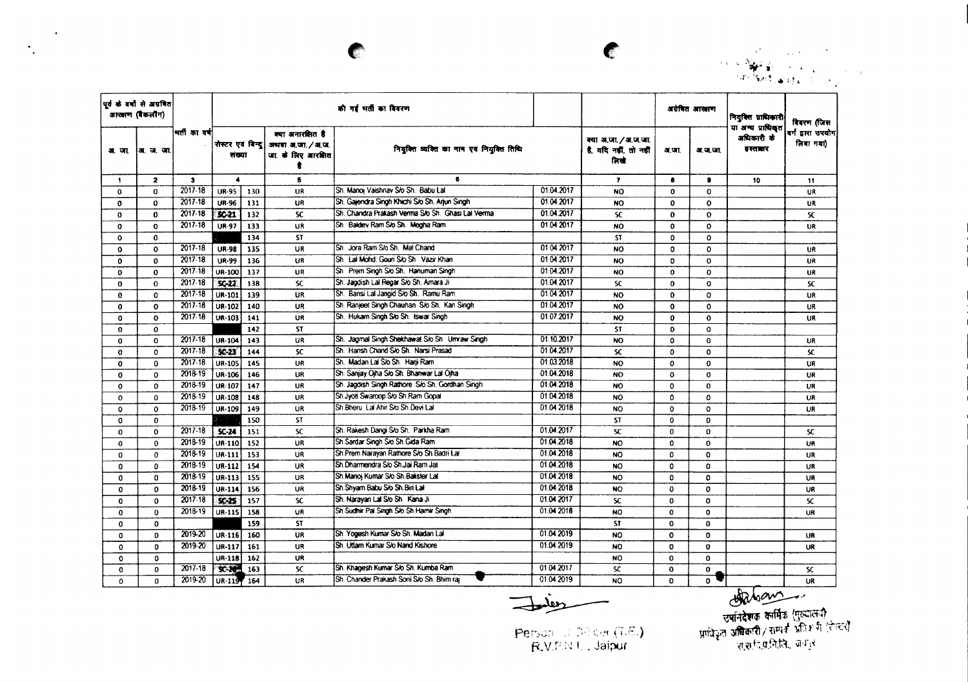

|              | पूर्व के वर्षों से अग्रवित<br>ব্ৰাজ্ঞাল (ৰকনাঁগ) |             |                             |     |                                                            | की गई भर्ती का विवरण                              |            |                                                       |              | अग्रेषित आखाण | नियुक्ति प्राधिकारी                       | विवरण (जिस                     |
|--------------|--------------------------------------------------|-------------|-----------------------------|-----|------------------------------------------------------------|---------------------------------------------------|------------|-------------------------------------------------------|--------------|---------------|-------------------------------------------|--------------------------------|
| अाजा         | अग. चा. च्या.                                    | मती का वर्ष | रोस्टर एवं बिन्दु<br>संख्या |     | क्या अनारशित है<br>अथवा अ.जा. / अ.ज.<br>जा. के लिए आरक्षित | नियुक्ति व्यक्ति का नाम एवं नियुक्ति तिथि         |            | क्या अ.जा. / अ.ज.जा.<br>है. यदि नहीं, तो नहीं<br>तिखे | अ.जा.        | अ.ज.जा.       | या अन्य प्राधिकृत<br>अधिकारी के<br>हरतातर | वर्ग द्वारा उपयोग<br>लिया गया) |
| $\mathbf{1}$ | $\mathbf{z}$                                     | 3           | $\blacktriangleleft$        |     | 5                                                          | $\bullet$                                         |            | $\mathbf{r}$                                          | 8            | 9             | 10                                        | 11                             |
| 0            | 0                                                | $2017 - 18$ | <b>UR-95</b>                | 130 | <b>UR</b>                                                  | Sh. Manoj Vaishnav S/o Sh. Babu Lal               | 01.04.2017 | <b>NO</b>                                             | $\mathbf 0$  | $\Omega$      |                                           | UR                             |
| 0            | 0                                                | 2017-18     | <b>UR-96</b>                | 131 | UR                                                         | Sh. Gaiendra Singh Khichi S/o Sh. Anun Singh      | 01.04.2017 | <b>NO</b>                                             | 0            | <sup>0</sup>  |                                           | UR                             |
| 0            | 0                                                | 2017-18     | $SC-21$                     | 132 | SC.                                                        | Sh. Chandra Prakash Verma S/o Sh. Ghasi Lai Verma | 01.04.2017 | <b>SC</b>                                             | $\mathbf{o}$ | $\Omega$      |                                           | SC.                            |
| 0            | O                                                | $2017 - 18$ | <b>UR-97</b>                | 133 | UR                                                         | Sh. Baldev Ram S/o Sh. Megha Ram                  | 01.04.2017 | <b>NO</b>                                             | $\Omega$     | $\Omega$      |                                           | UR                             |
| 0            | 0                                                |             |                             | 134 | <b>ST</b>                                                  |                                                   |            | ST                                                    | $\mathbf o$  | 0             |                                           |                                |
| 0            | 0                                                | 2017-18     | <b>UR-98</b>                | 135 | UR                                                         | Sh Jora Ram S/o Sh. Mal Chand                     | 01.04.2017 | <b>NO</b>                                             | $\Omega$     | $\Omega$      |                                           | UR                             |
| 0            | $\mathbf{0}$                                     | 2017.18     | <b>UR-99</b>                | 136 | UR                                                         | Sh. Lai Mohd, Gouri S/o Sh. Vazir Khan            | 01.04.2017 | <b>NO</b>                                             | $\Omega$     | $\Omega$      |                                           | UR                             |
| $\bf{0}$     | 0                                                | 2017-18     | UR-100                      | 137 | UR                                                         | Sh Prem Singh S/o Sh. Hanuman Singh               | 01.04.2017 | <b>NO</b>                                             | $\mathbf o$  | $\Omega$      |                                           | UR                             |
| $\mathbf 0$  | $\mathbf{0}$                                     | 2017-18     | $SC-22$                     | 138 | <b>SC</b>                                                  | Sh. Jagdish Lal Regar S/o Sh. Amara Ji            | 01.04.2017 | SC                                                    | $\mathbf 0$  | $\Omega$      |                                           | <b>SC</b>                      |
| 0            | $\mathbf{0}$                                     | 2017-18     | UR-101                      | 139 | UR                                                         | Sh. Bansi Lal Jangid S/o Sh. Ramu Ram             | 01.04.2017 | NO.                                                   | $\mathbf{o}$ | $\Omega$      |                                           | UR                             |
| $\mathbf 0$  | 0                                                | 2017 18     | <b>UR-102</b>               | 140 | UR                                                         | Sh. Ranjeet Singh Chauhan S/o Sh. Kan Singh       | 01.04.2017 | NO.                                                   | $\mathbf o$  | $\Omega$      |                                           | UR                             |
| 0            | $\mathbf{0}$                                     | 2017.18     | UR-103                      | 141 | UR                                                         | Sh. Hukam Singh S/o Sh. Iswar Singh               | 01.07.2017 | NO.                                                   | $\Omega$     | $\Omega$      |                                           | UR                             |
| $\Omega$     | $\mathbf{o}$                                     |             |                             | 142 | <b>ST</b>                                                  |                                                   |            | <b>ST</b>                                             | $\mathbf{o}$ | $\Omega$      |                                           |                                |
| $\mathbf{o}$ | $\mathbf{0}$                                     | 2017-18     | <b>UR-104</b>               | 143 | UR                                                         | Sh. Jagmal Singh Shekhawat S/o Sh. Umraw Singh    | 01.10.2017 | <b>NO</b>                                             | 0            | $\Omega$      |                                           | <b>UR</b>                      |
| $\mathbf{0}$ | $\Omega$                                         | 2017-18     | $SC-23$                     | 144 | <b>SC</b>                                                  | Sh. Harish Chand S/o Sh. Narsi Prasad             | 01.04.2017 | <b>SC</b>                                             | $\bf{0}$     | $\Omega$      |                                           | SC.                            |
| $\mathbf 0$  | $\mathbf 0$                                      | 2017-18     | <b>UR-105</b>               | 145 | UR                                                         | Sh. Madan Lal S/o Sh. Harii Ram                   | 01.03.2018 | NO.                                                   | 0            | $\Omega$      |                                           | <b>UR</b>                      |
| $\mathbf{0}$ | 0                                                | 2018-19     | UR-106                      | 146 | UR                                                         | Sh. Sanjay Ojha Sio Sh. Bhanwar Lai Ojha          | 01.04.2018 | NO                                                    | 0            | $\mathbf 0$   |                                           | UR.                            |
| $\mathbf 0$  | O                                                | 2018-19     | UR-107                      | 147 | UR.                                                        | Sh. Jagdish Singh Rathore S/o Sh. Gordhan Singh   | 01.04.2018 | NO.                                                   | o            | 0             |                                           | UR                             |
| $\mathbf 0$  | 0                                                | 2018-19     | <b>UR-108</b>               | 148 | <b>UR</b>                                                  | Sh.Jyoti Swaroop S/o Sh.Ram Gopal                 | 01.04.2018 | NO                                                    | $\Omega$     | $\Omega$      |                                           | UR                             |
| $\mathbf 0$  | $\mathbf{o}$                                     | 2018-19     | UR-109                      | 149 | <b>UR</b>                                                  | Sh.Bheru Lal Ahir S/o Sh.Devi Lal                 | 01.04.2018 | <b>NO</b>                                             | $\mathbf{o}$ | $\mathbf{o}$  |                                           | UR                             |
| $\Omega$     | $\Omega$                                         |             |                             | 150 | <b>ST</b>                                                  |                                                   |            | <b>ST</b>                                             | $\Omega$     | $\Omega$      |                                           |                                |
| $\mathbf 0$  | 0                                                | 2017-18     | $SC-24$                     | 151 | <b>SC</b>                                                  | Sh. Rakesh Dangi S/o Sh. Parkha Ram               | 01.04.2017 | <b>SC</b>                                             | $\mathbf{0}$ | $\mathbf 0$   |                                           | SC.                            |
| $\mathbf{0}$ | $\Omega$                                         | 2018-19     | UR-110                      | 152 | <b>UR</b>                                                  | Sh Sardar Singh S/o Sh Gida Ram                   | 01.04.2018 | <b>NO</b>                                             | $\mathbf{0}$ | $\mathbf{o}$  |                                           | UR                             |
| 0            | 0                                                | 2018-19     | UR-111                      | 153 | <b>UR</b>                                                  | Sh.Prem Narayan Rathore S/o Sh.Badri Lal          | 01.04.2018 | <b>NO</b>                                             | $\mathbf{0}$ | $\Omega$      |                                           | UR                             |
| 0            | 0                                                | 2018-19     | UR-112                      | 154 | UR                                                         | Sh.Dharmendra S/o Sh.Jai Ram Jat                  | 01.04.2018 | <b>NO</b>                                             | 0            | $\Omega$      |                                           | UR                             |
| $\mathbf{0}$ | $\Omega$                                         | 2018-19     | UR-113                      | 155 | <b>UR</b>                                                  | Sh. Manoi Kumar S/o Sh. Balister Lal              | 01.04.2018 | <b>NO</b>                                             | $\Omega$     | $\Omega$      |                                           | <b>UR</b>                      |
| 0            | 0                                                | 2018-19     | UR-114                      | 156 | <b>UR</b>                                                  | Sh. Shyam Babu S/o Sh. Biri Lal                   | 01.04.2018 | NO                                                    | 0            | $\mathbf 0$   |                                           | <b>UR</b>                      |
| $\mathbf 0$  | $\mathbf{o}$                                     | 2017-18     | $SC-25$                     | 157 | <b>SC</b>                                                  | Sh. Narayan Lal S/o Sh. Kana Ji                   | 01.04.2017 | SC.                                                   | $\mathbf{0}$ | 0             |                                           | SC                             |
| $\mathbf 0$  | $\mathbf 0$                                      | 2018-19     | UR-115                      | 158 | <b>UR</b>                                                  | Sh Sudhir Pal Singh S/o Sh Hamir Singh            | 01.04.2018 | <b>NO</b>                                             | 0            | 0             |                                           | UR                             |
| $\mathbf 0$  | $\mathbf{0}$                                     |             |                             | 159 | <b>ST</b>                                                  |                                                   |            | <b>ST</b>                                             | $\Omega$     | 0             |                                           |                                |
| $\mathbf 0$  | $\Omega$                                         | 2019-20     | UR-116                      | 160 | UR                                                         | Sh. Yogesh Kumar S/o Sh. Madan Lal                | 01.04.2019 | <b>NO</b>                                             | $\mathbf{o}$ | $\mathbf{0}$  |                                           | <b>UR</b>                      |
| $\Omega$     | $\mathbf{0}$                                     | 2019-20     | <b>UR-117</b>               | 161 | <b>UR</b>                                                  | Sh. Utlam Kumar S/o Nand Kishore                  | 01.04.2019 | <b>NO</b>                                             | $\Omega$     | $\mathbf{o}$  |                                           | <b>UR</b>                      |
| $\mathbf{c}$ | $\mathbf 0$                                      |             | UR-118                      | 162 | UR                                                         |                                                   |            | <b>NO</b>                                             | 0            | $\Omega$      |                                           |                                |
| $\bullet$    | $\mathbf{0}$                                     | 2017-18     | <b>SC-20%</b>               | 163 | <b>SC</b>                                                  | Sh. Khagesh Kumar S/o Sh. Kumba Ram               | 01 04 2017 | SC.                                                   | $\Omega$     | $\mathbf{o}$  |                                           | SC.                            |
| $\Omega$     | $\Omega$                                         | 2019-20     | UR-119                      | 164 | <b>UR</b>                                                  | Sh. Chander Prakash Soni S/o Sh. Bhim rai         | 01.04.2019 | <b>NO</b>                                             | O.           | 0             |                                           | <b>UR</b>                      |

 $\epsilon$ 

 $\sim 100$ 

 $\sigma_{\rm{g}}$ 

~

*~~j*

Person LL DRICA (T.E.)<br>R.V.P.N U., Jaipur

 $\bullet$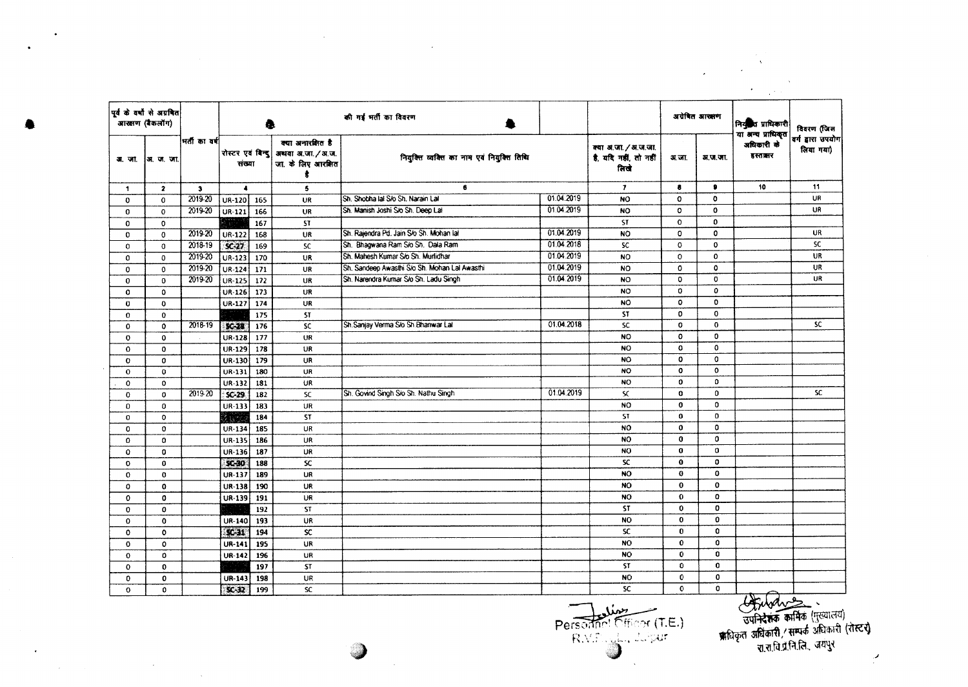|                      |                                               |                         |                             |                                 |                                                                 |                                               |            |                                                       |                 | $\mathcal{L}^{\text{max}}(\mathcal{L})$ | $\Lambda$                                   |                                |
|----------------------|-----------------------------------------------|-------------------------|-----------------------------|---------------------------------|-----------------------------------------------------------------|-----------------------------------------------|------------|-------------------------------------------------------|-----------------|-----------------------------------------|---------------------------------------------|--------------------------------|
|                      |                                               |                         |                             |                                 |                                                                 |                                               |            |                                                       |                 |                                         | $\bullet$ .<br>1,700                        |                                |
|                      | पूर्व के वर्षों से अग्रबित<br>आरक्षण (बैकलॉग) |                         |                             | की गई भर्ती का विवरण<br>ā.<br>量 |                                                                 |                                               |            |                                                       | अग्रेषित आरक्षण | नियुक्ति प्राधिकारी                     | विवरण (जिस                                  |                                |
|                      | अ. जॉ.  अ. ज. जॉ.                             | भर्ती का वर्ष           | रोस्टर एवं बिन्दु<br>संख्या |                                 | क्या अनारक्षित है<br>अथवा अ.जा./अ.ज.<br>जा. के लिए आरक्षित<br>ŧ | नियुक्ति व्यक्ति का नाम एवं नियुक्ति तिथि     |            | क्या अ.जा. / अ.ज.जा.<br>है, यदि नहीं, तो नहीं<br>तिखे | अ.जा.           | अ.ज.जा.                                 | या अन्य प्राधिकृत<br>अधिकारी के<br>हस्तानार | वर्ग द्वारा उपयोग<br>लिया गया) |
| $\ddot{\phantom{1}}$ | $\mathbf{z}$                                  | $\overline{\mathbf{3}}$ | $\blacktriangleleft$        |                                 | 5                                                               | 6                                             |            | $\overline{ }$                                        | 8               |                                         | 10                                          | 11                             |
| 0                    | $\mathbf 0$                                   | 2019-20                 | $UR-120$ 165                |                                 | UR                                                              | Sh. Shobha lal S/o Sh. Narain Lal             | 01.04.2019 | <b>NO</b>                                             | $\mathbf{o}$    | $\mathbf o$                             |                                             | UR                             |
| $\mathbf 0$          | $\mathbf{o}$                                  | 2019-20                 | UR-121                      | 166                             | UR                                                              | Sh. Manish Joshi S/o Sh. Deep Lal             | 01.04.2019 | <b>NO</b>                                             | 0               | $\mathbf o$                             |                                             | UR                             |
| $\mathbf 0$          | 0                                             |                         |                             | 167                             | <b>ST</b>                                                       |                                               |            | <b>ST</b>                                             | 0               | $\bf{0}$                                |                                             |                                |
| $\mathbf 0$          | $\mathbf 0$                                   | 2019-20                 | UR-122                      | 168                             | UR                                                              | Sh. Rajendra Pd. Jain S/o Sh. Mohan lal       | 01.04.2019 | <b>NO</b>                                             | 0               | o                                       |                                             | <b>UR</b>                      |
| $\mathbf 0$          | 0                                             | 2018-19                 | $SC-27$                     | 169                             | <b>SC</b>                                                       | Sh. Bhagwana Ram S/o Sh. Dala Ram             | 01.04.2018 | <b>SC</b>                                             | 0               | $\Omega$                                |                                             | <b>SC</b>                      |
| $\mathbf 0$          | $\mathbf 0$                                   | 2019-20                 | UR-123                      | 170                             | UR                                                              | Sh. Mahesh Kumar S/o Sh. Murlidhar            | 01.04.2019 | <b>NO</b>                                             | $\mathbf{o}$    | 0                                       |                                             | UR                             |
| $\mathbf 0$          | $\mathbf 0$                                   | 2019-20                 | UR-124                      | 171                             | UR                                                              | Sh. Sandeep Awasthi S/o Sh. Mohan Lal Awasthi | 01.04.2019 | <b>NO</b>                                             | 0               | $\mathbf{o}$                            |                                             | UR                             |
| $\mathbf 0$          | 0                                             | 2019-20                 | <b>UR-125</b>               | 172                             | UR                                                              | Sh. Narendra Kumar S/o Sh. Ladu Singh         | 01.04.2019 | <b>NO</b>                                             | 0               | 0                                       |                                             | UR                             |
| $\mathbf 0$          | 0                                             |                         | UR-126                      | 173                             | UR                                                              |                                               |            | <b>NO</b>                                             | 0               | $\Omega$                                |                                             |                                |
| $\bf{0}$             | $\mathbf 0$                                   |                         | <b>UR-127</b>               | 174                             | UR                                                              |                                               |            | <b>NO</b>                                             | 0               | $\Omega$                                |                                             |                                |
| $\bf{0}$             | $\mathbf 0$                                   |                         |                             | 175                             | <b>ST</b>                                                       |                                               |            | <b>ST</b>                                             | $\mathbf{o}$    | $\mathbf{o}$                            |                                             |                                |
| $\mathbf 0$          | $\mathbf 0$                                   | 2018-19                 | $SC-28$                     | 176                             | SC.                                                             | Sh.Sanjay Verma S/o Sh.Bhanwar Lal            | 01.04.2018 | <b>SC</b>                                             | $\bullet$       | $\mathbf 0$                             |                                             | <b>SC</b>                      |
| $\mathbf 0$          | 0                                             |                         | <b>UR-128</b>               | 177                             | UR                                                              |                                               |            | <b>NO</b>                                             | $\mathbf{o}$    | $\mathbf{O}$                            |                                             |                                |
| $\mathbf 0$          | $\mathbf{o}$                                  |                         | <b>UR-129</b>               | 178                             | UR                                                              |                                               |            | <b>NO</b>                                             | $\mathbf{o}$    | $\circ$                                 |                                             |                                |
| $\mathbf 0$          | $\mathbf 0$                                   |                         | UR-130                      | 179                             | UR                                                              |                                               |            | <b>NO</b>                                             | o               | $\mathbf 0$                             |                                             |                                |
| $\mathbf 0$          | $\mathbf{o}$                                  |                         | UR-131                      | 180                             | <b>UR</b>                                                       |                                               |            | <b>NO</b>                                             | $\mathbf{o}$    | $\mathbf 0$                             |                                             |                                |
| 0                    | $\mathbf{o}$                                  |                         | UR-132                      | 181                             | UR                                                              |                                               |            | <b>NO</b>                                             | 0               | $\mathbf 0$                             |                                             |                                |
| $\mathbf 0$          | $\mathbf 0$                                   | 2019-20                 | $SC-29$                     | 182                             | <b>SC</b>                                                       | Sh. Govind Singh S/o Sh. Nathu Singh          | 01.04.2019 | $\mathsf{S}\mathsf{C}$                                | 0               | $\Omega$                                |                                             | SC.                            |
| $\mathbf{0}$         | $\Omega$                                      |                         | UR-133                      | 183                             | UR                                                              |                                               |            | NO.                                                   | $\Omega$        | $\Omega$                                |                                             |                                |
| 0                    | $\mathbf 0$                                   |                         | K RYE                       | 184                             | ST                                                              |                                               |            | ST                                                    | $\bf{0}$        | $\mathbf 0$                             |                                             |                                |
| 0                    | $\mathbf{o}$                                  |                         | UR-134                      | 185                             | UR                                                              |                                               |            | <b>NO</b>                                             | $\mathbf 0$     | $\mathbf 0$                             |                                             |                                |
| $\mathbf{O}$         | 0                                             |                         | UR-135                      | 186                             | UR.                                                             |                                               |            | NO                                                    | $\mathbf 0$     | $\mathbf 0$                             |                                             |                                |
| $\mathbf{o}$         | 0                                             |                         | UR-136                      | 187                             | UR                                                              |                                               |            | NO.                                                   | $\bf{0}$        | $\mathbf 0$                             |                                             |                                |
| $\Omega$             | $\mathbf{0}$                                  |                         | $SC-30$                     | 188                             | SC.                                                             |                                               |            | <b>SC</b>                                             | $\bf{0}$        | 0                                       |                                             |                                |
| 0                    | $\mathbf 0$                                   |                         | UR-137                      | 189                             | <b>UR</b>                                                       |                                               |            | <b>NO</b>                                             | $\bf{0}$        | $\mathbf 0$                             |                                             |                                |
| 0                    | $\mathbf o$                                   |                         | UR-138                      | 190                             | <b>UR</b>                                                       |                                               |            | NO.                                                   | $\bf{0}$        | $\mathbf{o}$                            |                                             |                                |
| 0                    | 0                                             |                         | UR-139                      | 191                             | UR                                                              |                                               |            | NO                                                    | $\mathbf 0$     | $\mathbf 0$                             |                                             |                                |
| 0                    | $\mathbf 0$                                   |                         |                             | 192                             | <b>ST</b>                                                       |                                               |            | <b>ST</b>                                             | $\mathbf 0$     | $\mathbf 0$                             |                                             |                                |
| $\Omega$             | $\Omega$                                      |                         | UR-140                      | 193                             | <b>UR</b>                                                       |                                               |            | <b>NO</b>                                             | $\mathbf 0$     | $\mathbf{G}$                            |                                             |                                |
| $\mathbf{o}$         | $\mathbf{o}$                                  |                         | $SC-31$                     | 194                             | <b>SC</b>                                                       |                                               |            | <sub>SC</sub>                                         | $\mathbf{0}$    | $\mathbf 0$                             |                                             |                                |
| 0                    | $\mathbf 0$                                   |                         | <b>UR-141</b>               | 195                             | <b>UR</b>                                                       |                                               |            | <b>NO</b>                                             | $\mathbf 0$     | $\Omega$                                |                                             |                                |
| $\mathbf 0$          | 0                                             |                         | UR-142                      | 196                             | UR                                                              |                                               |            | <b>NO</b>                                             | $\mathbf 0$     | $\mathbf 0$                             |                                             |                                |
| $\mathbf 0$          | $\bf{0}$                                      |                         |                             | 197                             | <b>ST</b>                                                       |                                               |            | <b>ST</b>                                             | $\mathbf{o}$    | $\mathbf 0$                             |                                             |                                |
| 0                    | $\mathbf{o}$                                  |                         | UR-143                      | 198                             | UR                                                              |                                               |            | <b>NO</b>                                             | $\mathbf{0}$    | $\mathbf 0$                             |                                             |                                |
| $\Omega$             | $\Omega$                                      |                         | $x - 32$                    | 199                             | SC                                                              |                                               |            | <b>SC</b>                                             | $\mathbf{O}$    | 0                                       |                                             |                                |

 $\mathcal{L}^{\text{max}}_{\text{max}}$ 

 $\sim$ 

Personnel Officer (T.E.)

स्मिथ्येथ्र - प्राप्तविक्रम कार्मिक (मुख्यालय)<br>उपनिदेशक कार्मिक (मुख्यालय)<br>प्रारंधिकारी / सम्पर्क अधिकारी (रोस्टर)<br>रा.स.वि.प्रं.नि.लि. जयपुर  $\mathcal{P}$ 

 $\label{eq:2.1} \frac{1}{\sqrt{2\pi}}\int_{\mathbb{R}^3}\frac{1}{\sqrt{2\pi}}\int_{\mathbb{R}^3}\frac{1}{\sqrt{2\pi}}\int_{\mathbb{R}^3}\frac{1}{\sqrt{2\pi}}\int_{\mathbb{R}^3}\frac{1}{\sqrt{2\pi}}\int_{\mathbb{R}^3}\frac{1}{\sqrt{2\pi}}\int_{\mathbb{R}^3}\frac{1}{\sqrt{2\pi}}\int_{\mathbb{R}^3}\frac{1}{\sqrt{2\pi}}\int_{\mathbb{R}^3}\frac{1}{\sqrt{2\pi}}\int_{\mathbb{R}^3}\frac{1$ 

 $\bullet$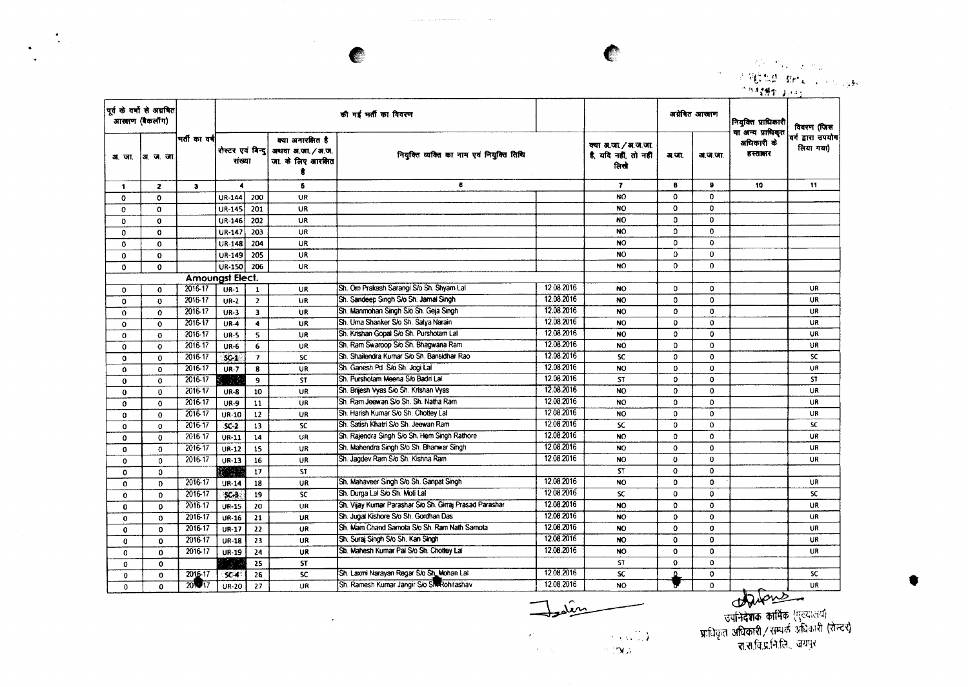$\sim$   $\sim$ 

 $\Lambda_{\rm{eff}}$ 

 $\bullet$ 

 $\ddot{\phantom{a}}$ 

<u>. 41 decem</u> **'r't: .~..~, i:***r'* **1-** ., !I.I'~'" *j* I

 $\alpha_{\rm K}$ 

 $\sim 100$ 

|              | पूर्व के वर्षों से अग्रवित<br>आरक्षण (बैकलॉंग) |                        |                             |                          |                                                              | की गई भर्ती का विवरण                                    |            |                                                     |              | अग्रेबित आरक्षण | नियुक्ति प्राधिकारी                        | विवरण (जिस                     |
|--------------|------------------------------------------------|------------------------|-----------------------------|--------------------------|--------------------------------------------------------------|---------------------------------------------------------|------------|-----------------------------------------------------|--------------|-----------------|--------------------------------------------|--------------------------------|
| अ. जा.       | ∣अ∴ज.जा                                        | भर्ती का वर्ष          | रोस्टर एवं बिन्द।<br>संख्या |                          | क्या अनारक्षित है<br>अधवा अ.जा. / अ.ज.<br>जा. के लिए आरक्षित | नियुक्ति व्यक्ति का नाम एवं नियुक्ति तिथि<br>6          |            | क्या अ.जा./अ.ज.जा.<br>है, यदि नहीं, तो नहीं<br>तिखे | म.जा.        | वा.ज.जा.        | या अन्य प्राधिकृत<br>अधिकारी के<br>हस्तातर | वर्ग द्वारा उपयोग<br>लिया गया) |
| 1            | $\mathbf{2}$                                   | $\mathbf{3}$           | $\blacktriangleleft$        |                          | 5                                                            |                                                         |            | $\mathbf{7}$                                        | 8            | $\bullet$       | 10                                         | 11                             |
| $\Omega$     | $\Omega$                                       |                        | <b>UR-144</b>               | 200                      | <b>UR</b>                                                    |                                                         |            | NO.                                                 | $\Omega$     | $\Omega$        |                                            |                                |
| $\mathbf 0$  | $\Omega$                                       |                        | UR-145                      | 201                      | <b>UR</b>                                                    |                                                         |            | <b>NO</b>                                           | $\Omega$     | $\Omega$        |                                            |                                |
| 0            | $\mathbf 0$                                    |                        | UR-146                      | 202                      | <b>UR</b>                                                    |                                                         |            | <b>NO</b>                                           | $\Omega$     | $\Omega$        |                                            |                                |
| $\Omega$     | $\bf{0}$                                       |                        | UR-147                      | 203                      | <b>UR</b>                                                    |                                                         |            | <b>NO</b>                                           | 0            | $\mathbf{0}$    |                                            |                                |
| $\mathbf 0$  | $\mathbf{0}$                                   |                        | <b>UR-148</b>               | 204                      | <b>UR</b>                                                    |                                                         |            | <b>NO</b>                                           | 0            | $\mathbf 0$     |                                            |                                |
| $\mathbf{o}$ | $\mathbf 0$                                    |                        | UR-149                      | 205                      | <b>UR</b>                                                    |                                                         |            | <b>NO</b>                                           | $\Omega$     | $\mathbf{0}$    |                                            |                                |
| 0            | $\mathbf 0$                                    |                        | UR-150                      | 206                      | <b>UR</b>                                                    |                                                         |            | NO.                                                 | 0            | $\mathbf 0$     |                                            |                                |
|              |                                                | <b>Amoungst Elect.</b> |                             |                          |                                                              |                                                         |            |                                                     |              |                 |                                            |                                |
| 0            | $\Omega$                                       | 2016-17                | $UR-1$                      | $\mathbf{1}$             | <b>UR</b>                                                    | Sh. Om Prakash Sarangi S/o Sh. Shyam Lal                | 12.08.2016 | <b>NO</b>                                           | 0            | 0               |                                            | UR                             |
| $\mathbf 0$  | $\mathbf 0$                                    | 2016-17                | $UR-2$                      | $\overline{2}$           | <b>UR</b>                                                    | Sh. Sandeep Singh S/o Sh. Jamal Singh                   | 12.08.2016 | <b>NO</b>                                           | 0            | $\Omega$        |                                            | UR                             |
| $\mathbf 0$  | $\Omega$                                       | 2016-17                | $UR-3$                      | $\overline{\mathbf{3}}$  | <b>UR</b>                                                    | Sh. Manmohan Singh S/o Sh. Geja Singh                   | 12.08.2016 | NO.                                                 | $\mathbf{o}$ | $\mathbf{o}$    |                                            | UR                             |
| $\mathbf{o}$ | $\mathbf 0$                                    | 2016-17                | $UR-4$                      | $\ddot{\phantom{a}}$     | <b>UR</b>                                                    | Sh. Uma Shanker S/o Sh. Satya Narain                    | 12.08.2016 | <b>NO</b>                                           | $\Omega$     | $\Omega$        |                                            | <b>UR</b>                      |
| 0            | $\mathbf 0$                                    | 2016-17                | $UR-5$                      | 5                        | UR                                                           | Sh. Krishan Gopal S/o Sh. Purshotam Lal                 | 12.08.2016 | NO.                                                 | $\Omega$     | $\mathbf 0$     |                                            | UR                             |
| 0            | $\mathbf 0$                                    | 2016-17                | <b>UR-6</b>                 | 6                        | <b>UR</b>                                                    | Sh. Ram Swaroop S/o Sh. Bhagwana Ram                    | 12.08.2016 | NO                                                  | 0            | 0               |                                            | UR                             |
| 0            | $\mathbf{0}$                                   | 2016-17                | $SC-1$                      | $\overline{\phantom{a}}$ | SC.                                                          | Sh. Shailendra Kumar S/o Sh. Bansidhar Rao              | 12.08.2016 | SC                                                  | $\mathbf{o}$ | $\mathbf 0$     |                                            | <b>SC</b>                      |
| 0            | 0                                              | 2016-17                | $UR-7$                      | 8                        | UR                                                           | Sh. Ganesh Pd S/o Sh. Jogi Lal                          | 12.08.2016 | <b>NO</b>                                           | $\mathbf 0$  | $\mathbf 0$     |                                            | UR                             |
| $\mathbf 0$  | $\Omega$                                       | 2016-17                | - 33                        | $\overline{9}$           | <b>ST</b>                                                    | Sh. Purshotam Meena S/o Badri Lal                       | 12.08.2016 | <b>ST</b>                                           | $\Omega$     | $\mathbf{0}$    |                                            | <b>ST</b>                      |
| $\mathbf 0$  | $\mathbf{0}$                                   | 2016-17                | <b>UR-8</b>                 | 10                       | <b>UR</b>                                                    | Sh. Brijesh Vyas S/o Sh. Krishan Vyas                   | 12.08.2016 | <b>NO</b>                                           | $\Omega$     | $\mathbf 0$     |                                            | <b>UR</b>                      |
| 0            | $\mathbf{o}$                                   | 2016-17                | <b>UR-9</b>                 | 11                       | UR                                                           | Sh. Ram Jeewan S/o Sh. Sh. Natha Ram                    | 12.08.2016 | <b>NO</b>                                           | 0            | 0               |                                            | UR                             |
| 0            | $\mathbf 0$                                    | 2016-17                | $UR-10$                     | 12                       | <b>UR</b>                                                    | Sh. Harish Kumar S/o Sh. Chottey Lal                    | 12.08.2016 | <b>NO</b>                                           | $\bf{0}$     | $\mathbf 0$     |                                            | UR.                            |
| $\mathbf 0$  | $\mathbf{0}$                                   | 2016-17                | $SC-2$                      | 13                       | SC                                                           | Sh. Satish Khatri S/o Sh. Jeewan Ram                    | 12.08.2016 | SC                                                  | $\mathbf{o}$ | $\mathbf{o}$    |                                            | <b>SC</b>                      |
| $\Omega$     | $\Omega$                                       | 2016-17                | <b>UR-11</b>                | 14                       | UR                                                           | Sh. Rajendra Singh S/o Sh. Hem Singh Rathore            | 12.08.2016 | NO                                                  | 0            | $\mathbf 0$     |                                            | UR                             |
| 0            | 0                                              | 2016-17                | UR-12                       | 15                       | UR                                                           | Sh. Mahendra Singh S/o Sh. Bhanwar Singh                | 12.08.2016 | NO.                                                 | $\Omega$     | $\Omega$        |                                            | UR                             |
| $\mathbf 0$  | $\mathbf{0}$                                   | 2016-17                | UR-13                       | 16                       | UR                                                           | Sh. Jagdev Ram S/o Sh. Kishna Ram                       | 12.08.2016 | <b>NO</b>                                           | $\mathbf{o}$ | $\mathbf 0$     |                                            | UR                             |
| $\mathbf 0$  | 0                                              |                        |                             | 17                       | <b>ST</b>                                                    |                                                         |            | <b>ST</b>                                           | $\mathbf{o}$ | 0               |                                            |                                |
| $\mathbf 0$  | $\bf{0}$                                       | 2016-17                | <b>UR-14</b>                | 18                       | UR                                                           | Sh. Mahaveer Singh S/o Sh. Ganpat Singh                 | 12.08.2016 | NO                                                  | 0            | 0               |                                            | UR                             |
| 0            | $\bf{0}$                                       | 2016-17                | SC-3                        | 19                       | SC.                                                          | Sh. Durga Lal S/o Sh. Moti Lal                          | 12.08.2016 | SC                                                  | $\mathbf{0}$ | $\Omega$        |                                            | <b>SC</b>                      |
| 0            | $\Omega$                                       | 2016-17                | <b>UR-15</b>                | 20                       | <b>UR</b>                                                    | Sh. Vijay Kumar Parashar S/o Sh. Girraj Prasad Parashar | 12.08.2016 | <b>NO</b>                                           | $\Omega$     | $\Omega$        |                                            | UR.                            |
| $\bf{0}$     | $\mathbf{0}$                                   | 2016-17                | <b>UR-16</b>                | 21                       | UR                                                           | Sh. Jugal Kishore S/o Sh. Gordhan Das                   | 12.08.2016 | <b>NO</b>                                           | $\mathbf{o}$ | $\mathbf 0$     |                                            | UR                             |
| $\mathbf 0$  | $\mathbf{0}$                                   | 2016-17                | <b>UR-17</b>                | 22                       | UR                                                           | Sh. Mam Chand Samota S/o Sh. Ram Nath Samota            | 12.08.2016 | NO.                                                 | $\mathbf o$  | 0               |                                            | UR                             |
| $\mathbf 0$  | $\mathbf{0}$                                   | 2016-17                | <b>UR-18</b>                | 23                       | UR                                                           | Sh. Suraj Singh S/o Sh. Kan Singh                       | 12.08.2016 | NO                                                  | $\mathbf{o}$ | $\mathbf 0$     |                                            | UR                             |
| $\Omega$     | $\mathbf{0}$                                   | 2016-17                | UR-19                       | 24                       | UR                                                           | Sh. Mahesh Kumar Pal S/o Sh. Chottey Lat                | 12.08.2016 | NO                                                  | $\mathbf{o}$ | $\mathbf o$     |                                            | <b>UR</b>                      |
| $\Omega$     | $\Omega$                                       |                        |                             | 25                       | <b>ST</b>                                                    |                                                         |            | <b>ST</b>                                           | $\Omega$     | $\Omega$        |                                            |                                |
| 0            | 0                                              | 2016-17                | $5C - 4$                    | 26                       | <b>SC</b>                                                    | Sh. Laxmi Narayan Regar S/o Sh. Mohan Lal               | 12.08.2016 | SC.                                                 |              | 0               |                                            | <b>SC</b>                      |
| 0            | $\Omega$                                       | $20\sqrt{17}$          | UR-20                       | 27                       | UR                                                           | Sh. Ramesh Kumar Jangir S/o Sho Rohitashav              | 12.08.2016 | NO.                                                 |              | 0               |                                            | <b>UR</b>                      |

 $\hat{m}$   $\longrightarrow$ 

त्त्वाने**देशके का**मिके (पुरुषाराप) **प्राधिकत अधिकारी / सम्पर्क अधिकारी (र**  $\sim$ ं $\pi$ .स.वि.प्र.नि.लि., जयपुर

•

 $\frac{\partial \mathbf{v}_i(\mathbf{v},\mathbf{v}_i^T \mathbf{v}_i)}{\partial \mathbf{v}_i^T}$ 

 $\mathcal{A}=\mathcal{A}^{(1)}_{\mathcal{A}}$ 

 $\alpha^{\mu}$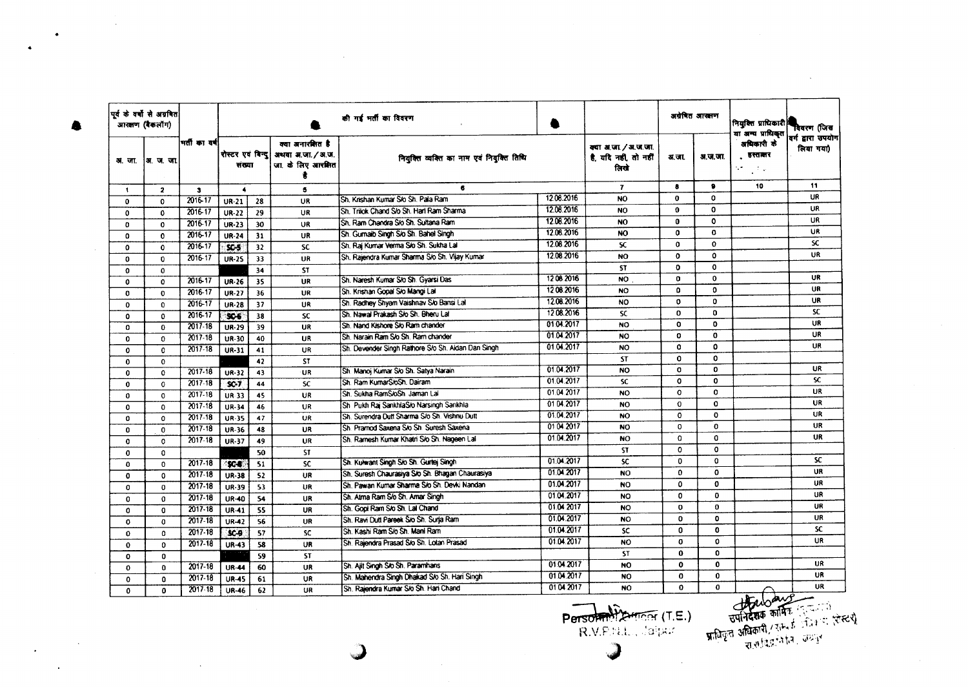| आरक्षण (बैकलॉग) | पूर्व के वर्षों से अग्रवित |              |                                                    |    |                                                            | की गई भर्ती का विवरण                               |            |                                                       |              | अग्रेषित आरक्षण | नियुक्ति प्राधिकारी है<br>या अन्य प्राधिकृत | विवरण (जिस                           |
|-----------------|----------------------------|--------------|----------------------------------------------------|----|------------------------------------------------------------|----------------------------------------------------|------------|-------------------------------------------------------|--------------|-----------------|---------------------------------------------|--------------------------------------|
| अला             | ∤अत्य जा                   | भर्तीका वर्ष | रोस्टर एवं विन्द<br>संख्या<br>$\blacktriangleleft$ |    | क्या अनारशित है<br>अथवा अ.जा. / अ.ज.<br>जा. के लिए आरक्षित | नियुक्ति व्यक्ति का नाम एवं नियुक्ति तिथि          |            | क्या अ.जा. / अ.ज.जा.<br>है. यदि नहीं, तो नहीं<br>लिखे | अ.जा.        | अ.ज.जा.         | अधिकारी के<br>हस्तातर<br>V.<br>$\sim 100$   | वर्ग द्वारा उपयोग<br>लिया गया)<br>11 |
| $\mathbf{1}$    | $\overline{2}$             | $\bullet$    |                                                    |    | 5                                                          | 6                                                  |            | $\mathbf{r}$                                          | $\bullet$    | ۰               | 10                                          |                                      |
| $\mathbf{0}$    | $\Omega$                   | 2016-17      | $UR-21$                                            | 28 | UR                                                         | Sh. Krishan Kumar S/o Sh. Pala Ram                 | 12.08.2016 | NO                                                    | $\bf{0}$     | 0               |                                             | UR                                   |
| $\bf{0}$        | 0                          | 2016-17      | <b>UR-22</b>                                       | 29 | UR                                                         | Sh. Trilok Chand S/o Sh. Hari Ram Sharma           | 12.08.2016 | NO                                                    | 0            | $\mathbf{o}$    |                                             | <b>UR</b>                            |
| 0               | 0                          | 2016-17      | UR-23                                              | 30 | UR                                                         | Sh. Ram Chandra S/o Sh. Sultana Ram                | 12.08.2016 | <b>NO</b>                                             | $\bf{0}$     | $\mathbf{o}$    |                                             | UR                                   |
| $\mathbf{0}$    | $\mathbf{0}$               | 2016-17      | <b>UR-24</b>                                       | 31 | <b>UR</b>                                                  | Sh. Gurnaib Singh S/o Sh. Bahel Singh              | 12.08.2016 | NO                                                    | $\mathbf o$  | $\mathbf{o}$    |                                             | <b>UR</b>                            |
| $\mathbf 0$     | $\mathbf 0$                | 2016-17      | $SC-5$                                             | 32 | <b>SC</b>                                                  | Sh. Raj Kumar Verma Slo Sh. Sukha Lal              | 12.08.2016 | <b>SC</b>                                             | 0            | $\Omega$        |                                             | <b>SC</b>                            |
| $\mathbf{0}$    | 0                          | 2016-17      | <b>UR-25</b>                                       | 33 | <b>UR</b>                                                  | Sh. Rajendra Kumar Sharma S/o Sh. Vijay Kumar      | 12.08.2016 | NO                                                    | $\mathbf o$  | $\mathbf{o}$    |                                             | UR                                   |
| $\mathbf 0$     | 0                          |              |                                                    | 34 | <b>ST</b>                                                  |                                                    |            | <b>ST</b>                                             | ٥            | $\mathbf{o}$    |                                             |                                      |
| 0               | 0                          | 2016-17      | <b>UR-26</b>                                       | 35 | UR                                                         | Sh. Naresh Kumar S/o Sh. Gyarsi Das                | 1208.2016  | <b>NO</b>                                             | o            | $\mathbf{o}$    |                                             | UR                                   |
| $\Omega$        | $\Omega$                   | 2016-17      | <b>UR-27</b>                                       | 36 | <b>UR</b>                                                  | Sh. Krishan Gooal Slo Mangi Lal                    | 1208.2016  | <b>NO</b>                                             | $\Omega$     | $\Omega$        |                                             | UR                                   |
| 0               | 0                          | 2016-17      | $UR-28$                                            | 37 | UR                                                         | Sh. Radhey Shyam Vaishnav S/o Bansi Lal            | 12.08.2016 | <b>NO</b>                                             | O            | 0               |                                             | <b>UR</b>                            |
| $\Omega$        | $\Omega$                   | 2016-17      | 905                                                | 38 | SC.                                                        | Sh. Nawal Prakash S/o Sh. Bheru Lal                | 12.08.2016 | <b>SC</b>                                             | 0            | $\Omega$        |                                             | SC.                                  |
| $\Omega$        | 0                          | $2017 - 18$  | UR-29                                              | 39 | UR                                                         | Sh. Nand Kishore S/o Ram chander                   | 01.04.2017 | NO.                                                   | $\mathbf{o}$ | 0               |                                             | <b>UR</b>                            |
| 0               | 0                          | 2017-18      | UR-30                                              | 40 | <b>UR</b>                                                  | Sh. Narain Ram S/o Sh. Ram chander                 | 01.04.2017 | <b>NO</b>                                             | $\mathbf{o}$ | $\mathbf 0$     |                                             | UR                                   |
| $\mathbf 0$     | 0                          | $2017 - 18$  | UR-31                                              | 41 | UR.                                                        | Sh. Devender Singh Rathore S/o Sh. Aidan Dan Singh | 01.04.2017 | <b>NO</b>                                             | $\mathbf 0$  | o               |                                             | UR                                   |
| $\mathbf{o}$    | $\mathbf{0}$               |              |                                                    | 42 | <b>ST</b>                                                  |                                                    |            | <b>ST</b>                                             | $\mathbf{0}$ | 0               |                                             |                                      |
| $\mathbf 0$     | 0                          | $2017 - 18$  | UR-32                                              | 43 | UR                                                         | Sh. Manoj Kumar Sło Sh. Satya Narain               | 01.04.2017 | <b>NO</b>                                             | 0            | $\mathbf{o}$    |                                             | UR                                   |
| $\mathbf 0$     | $\mathbf{o}$               | $2017 - 18$  | SC7                                                | 44 | <b>SC</b>                                                  | Sh. Ram KumarS/oSh. Dairam                         | 01.04.2017 | SC.                                                   | $\mathbf 0$  | $\mathbf 0$     |                                             | SC                                   |
| $\mathbf 0$     | $\mathbf 0$                | 2017.18      | <b>UR-33</b>                                       | 45 | UR                                                         | Sh. Sukha RamS/oSh. Jaman Lai                      | 01.04.2017 | <b>NO</b>                                             | $\mathbf{o}$ | $\Omega$        |                                             | <b>UR</b>                            |
| $\Omega$        | 0                          | 2017-18      | <b>UR-34</b>                                       | 46 | UR                                                         | Sh. Pukh Raj SankhlaS/o Narsingh Sankhla           | 01 04:2017 | <b>NO</b>                                             | $\Omega$     | O               |                                             | <b>UR</b>                            |
| $\mathbf 0$     | $\Omega$                   | 2017-18      | <b>UR-35</b>                                       | 47 | <b>UR</b>                                                  | Sh. Surendra Dutt Sharma S/o Sh. Vishnu Dutt       | 01.04.2017 | <b>NO</b>                                             | $\mathbf 0$  | $\mathbf{o}$    |                                             | <b>UR</b>                            |
| O               | $\mathbf 0$                | 2017-18      | UR-36                                              | 48 | UR                                                         | Sh. Pramod Saxena S/o Sh. Suresh Saxena            | 0104.2017  | <b>NO</b>                                             | $\mathbf 0$  | $\mathbf 0$     |                                             | UR                                   |
| $\Omega$        | $\Omega$                   | 2017-18      | <b>UR-37</b>                                       | 49 | UR                                                         | Sh. Ramesh Kumar Khatri S/o Sh. Nageen Lai         | 01.04.2017 | <b>NO</b>                                             | $\Omega$     | $\mathbf{O}$    |                                             | UR                                   |
| $\mathbf 0$     | 0                          |              |                                                    | 50 | <b>ST</b>                                                  |                                                    |            | <b>ST</b>                                             | $\mathbf o$  | o               |                                             |                                      |
| $\mathbf{0}$    | $\Omega$                   | $2017 - 18$  | <b>SC-8</b>                                        | 51 | <b>SC</b>                                                  | Sh. Kulwant Singh S/o Sh. Gurtej Singh             | 01.04.2017 | <b>SC</b>                                             | 0            | $\mathbf{O}$    |                                             | SC.                                  |
| 0               | $\mathbf 0$                | $2017 - 18$  | <b>UR-38</b>                                       | 52 | <b>UR</b>                                                  | Sh. Suresh Chaurasiya S/o Sh. Bhagan Chaurasiya    | 01.04.2017 | <b>NO</b>                                             | $\mathbf{0}$ | 0               |                                             | UR                                   |
| 0               | $\mathbf{0}$               | 2017-18      | <b>UR-39</b>                                       | 53 | UR                                                         | Sh. Pawan Kumar Sharma S/o Sh. Devki Nandan        | 01.04.2017 | <b>NO</b>                                             | $\mathbf 0$  | $\mathbf 0$     |                                             | UR                                   |
| 0               | 0                          | 2017-18      | <b>UR-40</b>                                       | 54 | UR                                                         | Sh. Atma Ram S/o Sh. Amar Singh                    | 01.04.2017 | <b>NO</b>                                             | 0            | $\Omega$        |                                             | <b>UR</b>                            |
| 0               | 0                          | $2017 - 18$  | <b>UR-41</b>                                       | 55 | UR                                                         | Sh. Gopi Ram S/o Sh. Lal Chand                     | 01.04.2017 | <b>NO</b>                                             | $\mathbf 0$  | 0               |                                             | UR                                   |
| 0               | 0                          | 2017-18      | <b>UR-42</b>                                       | 56 | UR                                                         | Sh. Ravi Dutt Pareek S/o Sh. Suria Ram             | 01.04.2017 | <b>NO</b>                                             | O            | $\mathbf{O}$    |                                             | UR                                   |
| $\mathbf 0$     | $\Omega$                   | 2017-18      | $SC-9$                                             | 57 | <b>SC</b>                                                  | Sh. Kashi Ram S/o Sh. Mani Ram                     | 01.04.2017 | <b>SC</b>                                             | 0            | 0               |                                             | <b>SC</b>                            |
| 0               | $\Omega$                   | $2017 - 18$  | <b>UR-43</b>                                       | 58 | UR                                                         | Sh. Rajendra Prasad S/o Sh. Lotan Prasad           | 01.04.2017 | NO.                                                   | $\mathbf{0}$ | 0               |                                             | UR                                   |
| 0               | 0                          |              |                                                    | 59 | ST                                                         |                                                    |            | <b>ST</b>                                             | $\bf{0}$     | $\mathbf 0$     |                                             |                                      |
| $\mathbf{o}$    | $\mathbf{0}$               | 2017-18      | <b>UR-44</b>                                       | 60 | <b>UR</b>                                                  | Sh. Ailt Singh S/o Sh. Paramhans                   | 01.04.2017 | NO.                                                   | $\bf{o}$     | $\mathbf{0}$    |                                             | UR                                   |
| $\mathbf 0$     | 0                          | 2017-18      | <b>UR-45</b>                                       | 61 | <b>UR</b>                                                  | Sh. Mahendra Singh Dhakad S/o Sh. Hari Singh       | 01.04.2017 | <b>NO</b>                                             | $\mathbf 0$  | 0               |                                             | UR                                   |
| $\mathbf{0}$    | $\mathbf{0}$               | $2017 - 18$  | <b>UR-46</b>                                       | 62 | UR                                                         | Sh. Rajendra Kumar S/o Sh. Hari Chand              | 0104 2017  | NO.                                                   | $\Omega$     | $\Omega$        | Barbar Barnes                               | <b>UR</b>                            |

**•** 

 $\Delta$ 

 $\sim$ 

J

 $\sim 10^{-1}$